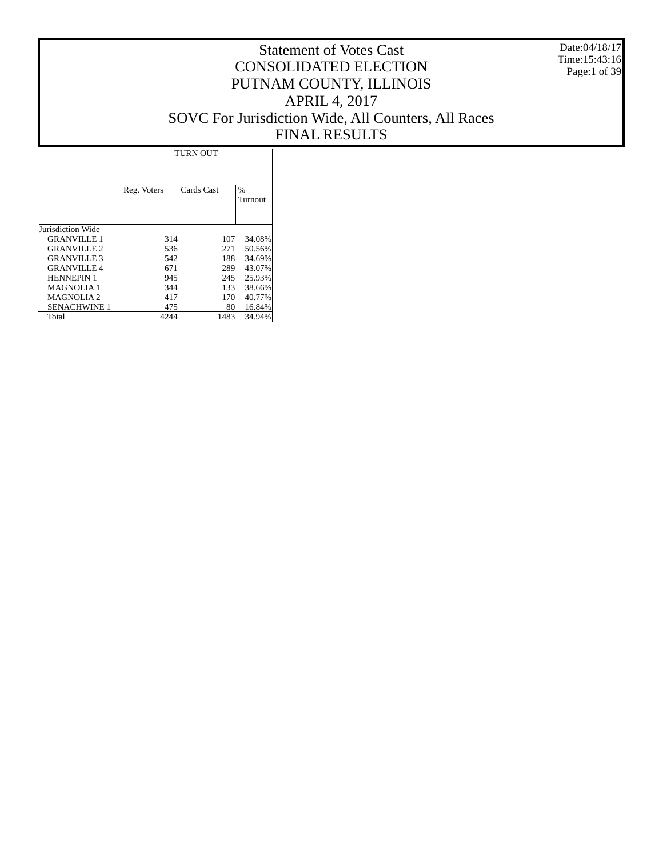Date:04/18/17 Time:15:43:16 Page:1 of 39

# Statement of Votes Cast CONSOLIDATED ELECTION PUTNAM COUNTY, ILLINOIS APRIL 4, 2017 SOVC For Jurisdiction Wide, All Counters, All Races FINAL RESULTS

ī

|                     |             | <b>TURN OUT</b> |              |
|---------------------|-------------|-----------------|--------------|
|                     | Reg. Voters | Cards Cast      | %<br>Turnout |
| Jurisdiction Wide   |             |                 |              |
| <b>GRANVILLE 1</b>  | 314         | 107             | 34.08%       |
| <b>GRANVILLE 2</b>  | 536         | 271             | 50.56%       |
| <b>GRANVILLE 3</b>  | 542         | 188             | 34.69%       |
| <b>GRANVILLE 4</b>  | 671         | 289             | 43.07%       |
| <b>HENNEPIN 1</b>   | 945         | 245             | 25.93%       |
| MAGNOLIA 1          | 344         | 133             | 38.66%       |
| <b>MAGNOLIA2</b>    | 417         | 170             | 40.77%       |
| <b>SENACHWINE 1</b> | 475         | 80              | 16.84%       |
| Total               | 4244        | 1483            | 34.94%       |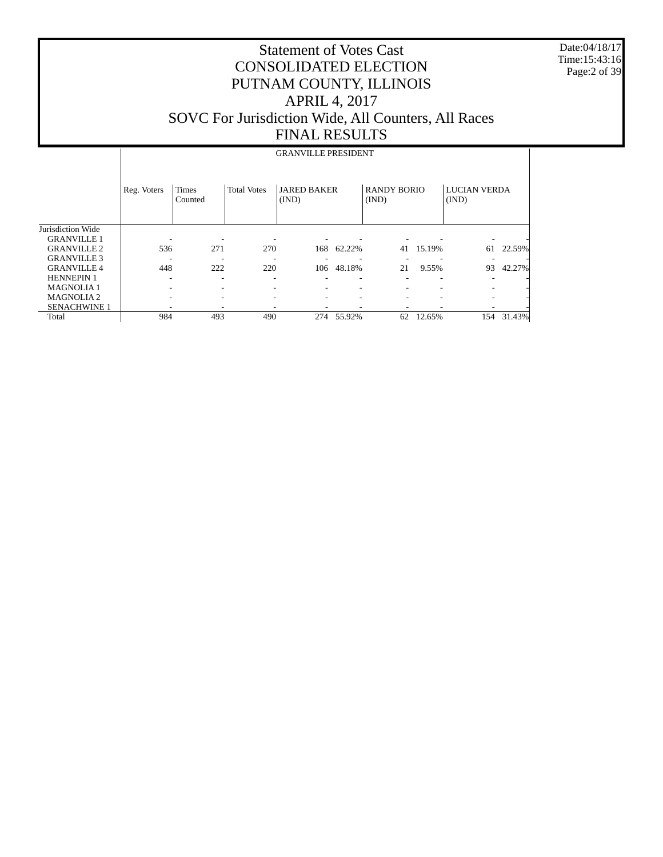Date:04/18/17 Time:15:43:16 Page:2 of 39

|                     |             |                         |                    | <b>GRANVILLE PRESIDENT</b>  |        |                             |        |                              |        |
|---------------------|-------------|-------------------------|--------------------|-----------------------------|--------|-----------------------------|--------|------------------------------|--------|
|                     | Reg. Voters | <b>Times</b><br>Counted | <b>Total Votes</b> | <b>JARED BAKER</b><br>(IND) |        | <b>RANDY BORIO</b><br>(IND) |        | <b>LUCIAN VERDA</b><br>(IND) |        |
| Jurisdiction Wide   |             |                         |                    |                             |        |                             |        |                              |        |
| <b>GRANVILLE 1</b>  |             |                         |                    |                             |        |                             |        |                              |        |
| <b>GRANVILLE 2</b>  | 536         | 271                     | 270                | 168                         | 62.22% | 41                          | 15.19% | 61                           | 22.59% |
| <b>GRANVILLE 3</b>  |             |                         |                    |                             |        |                             |        |                              |        |
| <b>GRANVILLE 4</b>  | 448         | 222                     | 220                | 106                         | 48.18% | 21                          | 9.55%  | 93                           | 42.27% |
| <b>HENNEPIN 1</b>   |             |                         |                    |                             |        |                             |        |                              |        |
| <b>MAGNOLIA1</b>    |             |                         | -                  |                             | ۰      | $\overline{\phantom{a}}$    |        |                              |        |
| <b>MAGNOLIA2</b>    |             |                         | ۰                  |                             | ۰      | $\overline{\phantom{a}}$    |        | ٠                            |        |
| <b>SENACHWINE 1</b> |             |                         | ۰                  |                             |        | $\overline{\phantom{a}}$    |        |                              |        |
| Total               | 984         | 493                     | 490                | 274                         | 55.92% | 62                          | 12.65% | 154                          | 31.43% |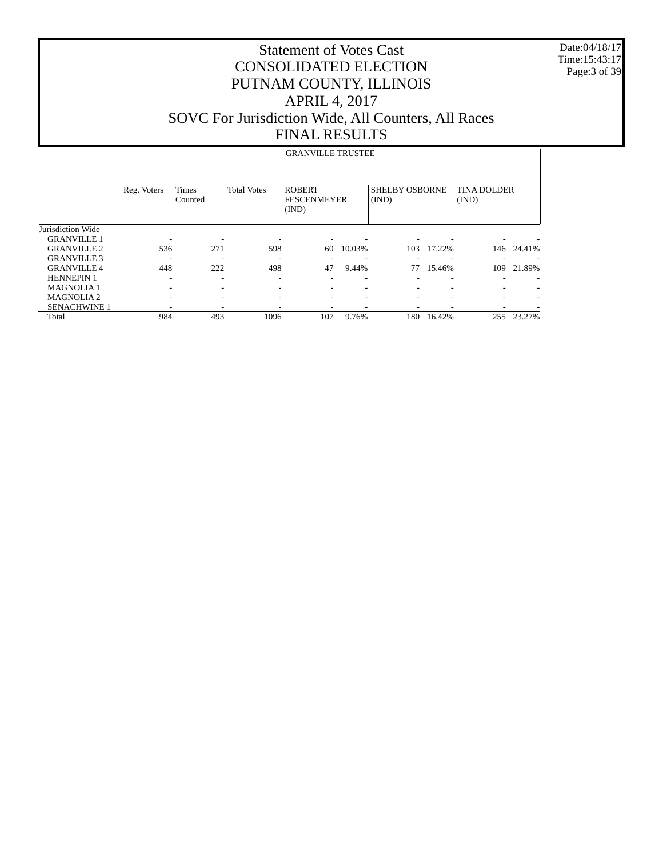Date:04/18/17 Time:15:43:17 Page:3 of 39

|                     |             |                         |                    | <b>GRANVILLE TRUSTEE</b>                     |        |                                |        |                             |        |
|---------------------|-------------|-------------------------|--------------------|----------------------------------------------|--------|--------------------------------|--------|-----------------------------|--------|
|                     | Reg. Voters | <b>Times</b><br>Counted | <b>Total Votes</b> | <b>ROBERT</b><br><b>FESCENMEYER</b><br>(IND) |        | <b>SHELBY OSBORNE</b><br>(IND) |        | <b>TINA DOLDER</b><br>(IND) |        |
| Jurisdiction Wide   |             |                         |                    |                                              |        |                                |        |                             |        |
| <b>GRANVILLE 1</b>  |             |                         |                    |                                              |        |                                |        |                             |        |
| <b>GRANVILLE 2</b>  | 536         | 271                     | 598                | 60                                           | 10.03% | 103                            | 17.22% | 146                         | 24.41% |
| <b>GRANVILLE 3</b>  |             |                         |                    |                                              |        |                                |        |                             |        |
| <b>GRANVILLE 4</b>  | 448         | 222                     | 498                | 47                                           | 9.44%  | 77                             | 15.46% | 109                         | 21.89% |
| <b>HENNEPIN 1</b>   |             |                         |                    |                                              |        |                                |        |                             |        |
| <b>MAGNOLIA1</b>    |             |                         |                    |                                              |        |                                |        |                             |        |
| <b>MAGNOLIA2</b>    |             |                         |                    |                                              |        |                                |        |                             |        |
| <b>SENACHWINE 1</b> |             |                         |                    |                                              |        |                                |        |                             |        |
| Total               | 984         | 493                     | 1096               | 107                                          | 9.76%  | 180                            | 16.42% | 255                         | 23.27% |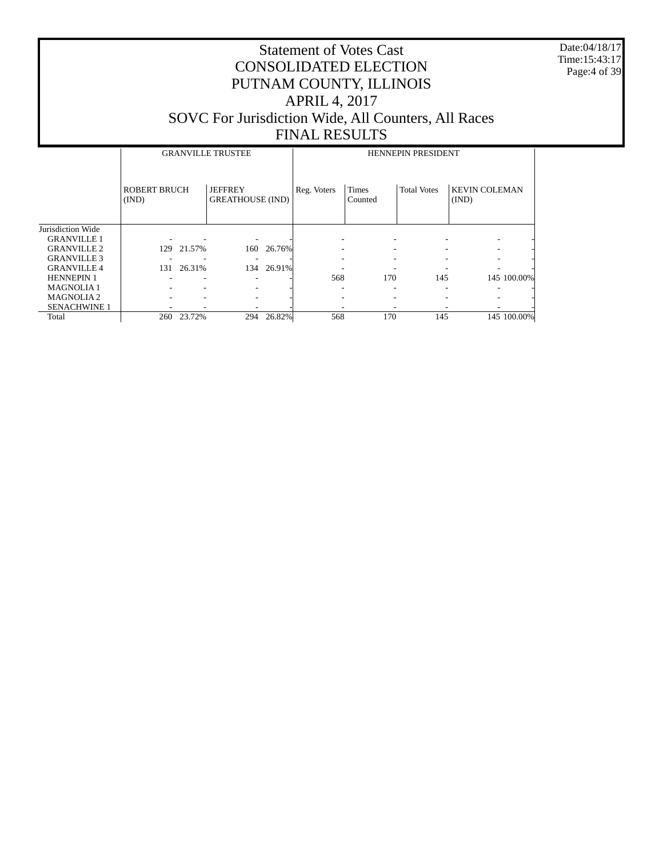Date:04/18/17 Time:15:43:17 Page:4 of 39

|                     |                              |        | <b>GRANVILLE TRUSTEE</b>                  |            |             |                         | <b>HENNEPIN PRESIDENT</b> |                               |             |
|---------------------|------------------------------|--------|-------------------------------------------|------------|-------------|-------------------------|---------------------------|-------------------------------|-------------|
|                     | <b>ROBERT BRUCH</b><br>(IND) |        | <b>JEFFREY</b><br><b>GREATHOUSE (IND)</b> |            | Reg. Voters | <b>Times</b><br>Counted | <b>Total Votes</b>        | <b>KEVIN COLEMAN</b><br>(IND) |             |
| Jurisdiction Wide   |                              |        |                                           |            |             |                         |                           |                               |             |
| <b>GRANVILLE 1</b>  |                              |        |                                           |            |             |                         |                           |                               |             |
| <b>GRANVILLE 2</b>  | 129                          | 21.57% |                                           | 160 26.76% |             | -                       |                           |                               |             |
| <b>GRANVILLE 3</b>  |                              |        |                                           |            |             |                         |                           |                               |             |
| <b>GRANVILLE 4</b>  | 131                          | 26.31% |                                           | 134 26.91% |             |                         |                           |                               |             |
| <b>HENNEPIN 1</b>   |                              |        |                                           |            | 568         | 170                     | 145                       |                               | 145 100.00% |
| <b>MAGNOLIA1</b>    |                              |        |                                           |            |             |                         |                           |                               |             |
| <b>MAGNOLIA2</b>    |                              |        |                                           |            |             |                         |                           |                               |             |
| <b>SENACHWINE 1</b> |                              |        |                                           |            |             |                         |                           |                               |             |
| Total               | 260                          | 23.72% | 294                                       | 26.82%     | 568         | 170                     | 145                       |                               | 145 100.00% |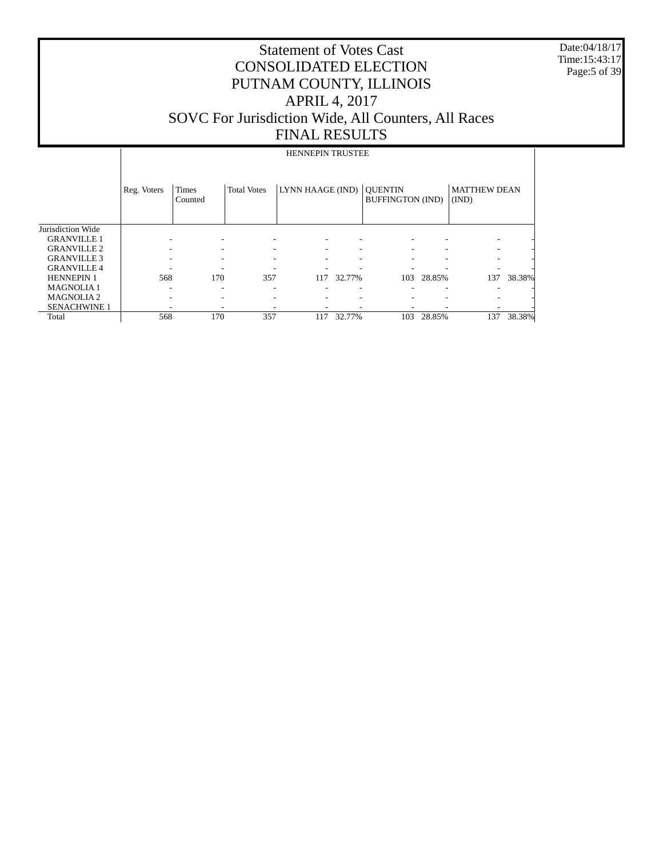Date:04/18/17 Time:15:43:17 Page:5 of 39

|                     |             |                         |                          | <b>HENNEPIN TRUSTEE</b> |        |                                           |        |                              |        |
|---------------------|-------------|-------------------------|--------------------------|-------------------------|--------|-------------------------------------------|--------|------------------------------|--------|
|                     | Reg. Voters | <b>Times</b><br>Counted | <b>Total Votes</b>       | LYNN HAAGE (IND)        |        | <b>OUENTIN</b><br><b>BUFFINGTON (IND)</b> |        | <b>MATTHEW DEAN</b><br>(IND) |        |
| Jurisdiction Wide   |             |                         |                          |                         |        |                                           |        |                              |        |
| <b>GRANVILLE 1</b>  |             | -                       |                          |                         |        |                                           |        |                              |        |
| <b>GRANVILLE 2</b>  |             | -                       | $\overline{\phantom{a}}$ |                         |        |                                           |        |                              |        |
| <b>GRANVILLE 3</b>  |             | ۰                       | -                        |                         | ۰      |                                           | ۰      |                              |        |
| <b>GRANVILLE 4</b>  |             |                         |                          |                         |        |                                           |        |                              |        |
| <b>HENNEPIN 1</b>   | 568         | 170                     | 357                      | 117                     | 32.77% | 103                                       | 28.85% | 137                          | 38.38% |
| <b>MAGNOLIA1</b>    |             |                         |                          |                         |        |                                           |        |                              |        |
| <b>MAGNOLIA2</b>    |             | ۰                       |                          |                         |        |                                           |        |                              |        |
| <b>SENACHWINE 1</b> |             | ٠                       |                          |                         |        |                                           |        |                              |        |
| Total               | 568         | 170                     | 357                      | 117                     | 32.77% | 103                                       | 28.85% | 137                          | 38.38% |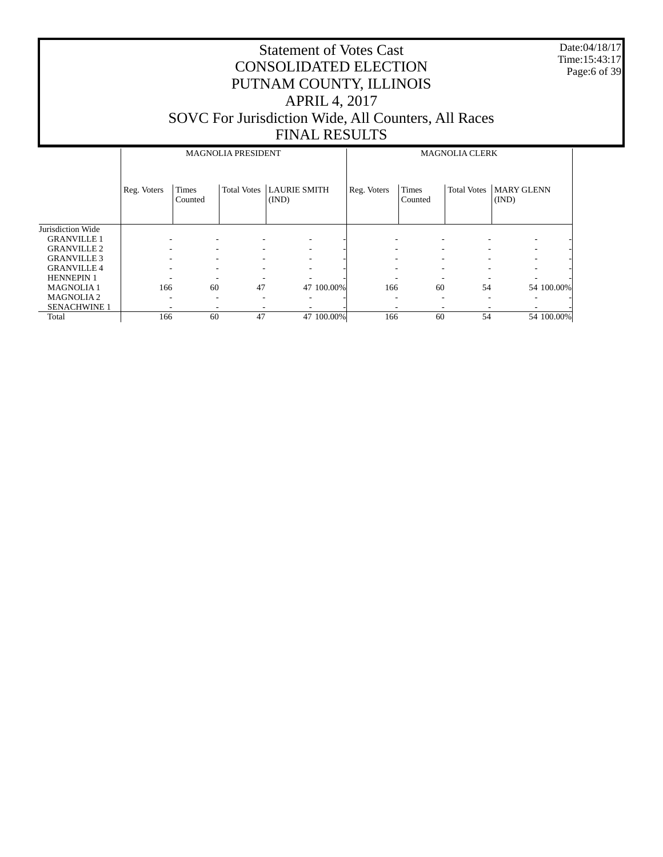Date:04/18/17 Time:15:43:17 Page:6 of 39

|                     |             |                          | <b>MAGNOLIA PRESIDENT</b> |                          |             |                          | <b>MAGNOLIA CLERK</b>    |                            |  |
|---------------------|-------------|--------------------------|---------------------------|--------------------------|-------------|--------------------------|--------------------------|----------------------------|--|
|                     | Reg. Voters | <b>Times</b><br>Counted  | <b>Total Votes</b>        | LAURIE SMITH<br>(IND)    | Reg. Voters | <b>Times</b><br>Counted  | <b>Total Votes</b>       | <b>MARY GLENN</b><br>(IND) |  |
| Jurisdiction Wide   |             |                          |                           |                          |             |                          |                          |                            |  |
| <b>GRANVILLE 1</b>  |             |                          |                           | ۰                        |             |                          |                          |                            |  |
| <b>GRANVILLE 2</b>  |             |                          |                           | -                        |             |                          |                          |                            |  |
| <b>GRANVILLE 3</b>  |             |                          | -                         | ۰                        |             | $\overline{\phantom{a}}$ | $\overline{\phantom{a}}$ | ۰                          |  |
| <b>GRANVILLE 4</b>  |             |                          | ۰                         | $\overline{\phantom{a}}$ | ۰           |                          |                          | ۰                          |  |
| <b>HENNEPIN 1</b>   |             | $\overline{\phantom{a}}$ |                           | ٠                        | -           | $\overline{\phantom{a}}$ | -                        | ۰                          |  |
| <b>MAGNOLIA1</b>    | 166         | 60                       | 47                        | 47 100,00%               | 166         | 60                       | 54                       | 54 100.00%                 |  |
| <b>MAGNOLIA2</b>    |             | ۰                        | -                         | -                        |             | ۰                        | -                        | -                          |  |
| <b>SENACHWINE 1</b> |             |                          |                           |                          |             |                          |                          |                            |  |
| Total               | 166         | 60                       | 47                        | 47 100.00%               | 166         | 60                       | 54                       | 54 100.00%                 |  |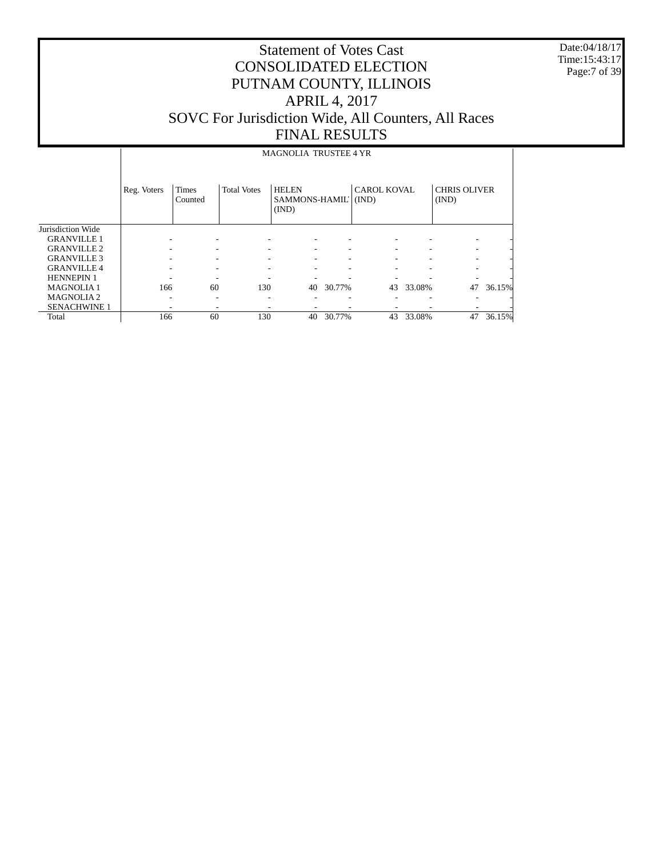Date:04/18/17 Time:15:43:17 Page:7 of 39

#### Statement of Votes Cast CONSOLIDATED ELECTION PUTNAM COUNTY, ILLINOIS APRIL 4, 2017 SOVC For Jurisdiction Wide, All Counters, All Races FINAL RESULTS

#### Jurisdiction Wide GRANVILLE 1 Reg. Voters | Times Counted Total Votes | HELEN SAMMONS-HAMIL' | (IND) (IND) CAROL KOVAL CHRIS OLIVER (IND) MAGNOLIA TRUSTEE 4 YR

| <b>GRANVILLE 1</b>  |     |    |     |                          |        |    |        |    |        |
|---------------------|-----|----|-----|--------------------------|--------|----|--------|----|--------|
| <b>GRANVILLE 2</b>  |     |    |     | $\overline{\phantom{a}}$ |        |    |        |    |        |
| <b>GRANVILLE 3</b>  |     |    |     | -                        |        |    |        |    |        |
| <b>GRANVILLE 4</b>  |     |    |     |                          |        |    |        |    |        |
| <b>HENNEPIN 1</b>   |     |    |     |                          |        |    |        |    |        |
| <b>MAGNOLIA1</b>    | 166 | 60 | 130 | 40                       | 30.77% | 43 | 33.08% | 47 | 36.15% |
| <b>MAGNOLIA2</b>    | -   |    |     |                          |        |    |        |    |        |
| <b>SENACHWINE 1</b> |     |    |     |                          |        |    |        |    |        |
| Total               | 166 | 60 | 130 | 40                       | 30.77% |    | 33.08% | 47 | 36.15% |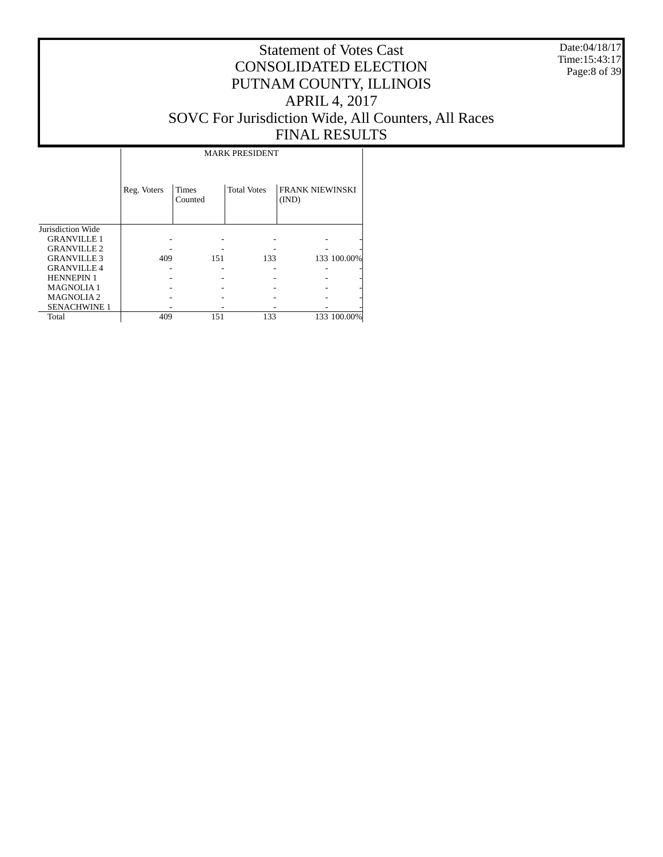Date:04/18/17 Time:15:43:17 Page:8 of 39

# Statement of Votes Cast CONSOLIDATED ELECTION PUTNAM COUNTY, ILLINOIS APRIL 4, 2017 SOVC For Jurisdiction Wide, All Counters, All Races FINAL RESULTS

Τ

|                     |             |                  | <b>MARK PRESIDENT</b> |                                 |             |
|---------------------|-------------|------------------|-----------------------|---------------------------------|-------------|
|                     | Reg. Voters | Times<br>Counted | <b>Total Votes</b>    | <b>FRANK NIEWINSKI</b><br>(IND) |             |
| Jurisdiction Wide   |             |                  |                       |                                 |             |
| <b>GRANVILLE 1</b>  |             |                  |                       |                                 |             |
| <b>GRANVILLE 2</b>  |             |                  |                       |                                 |             |
| <b>GRANVILLE 3</b>  | 409         | 151              | 133                   |                                 | 133 100.00% |
| <b>GRANVILLE 4</b>  |             |                  |                       |                                 |             |
| <b>HENNEPIN 1</b>   |             |                  |                       |                                 |             |
| <b>MAGNOLIA1</b>    |             |                  |                       |                                 |             |
| <b>MAGNOLIA2</b>    |             |                  |                       |                                 |             |
| <b>SENACHWINE 1</b> |             |                  |                       |                                 |             |
| Total               | 409         | 151              | 133                   |                                 | 133 100.00% |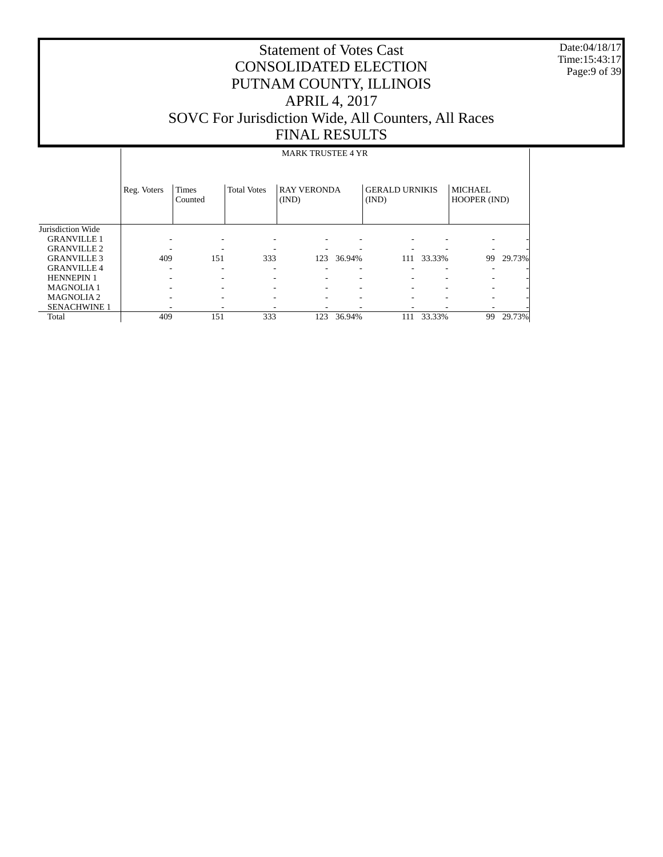Date:04/18/17 Time:15:43:17 Page:9 of 39

|                       |             |                         |                    | <b>MARK TRUSTEE 4 YR</b>    |        |                                |        |                                |        |
|-----------------------|-------------|-------------------------|--------------------|-----------------------------|--------|--------------------------------|--------|--------------------------------|--------|
|                       | Reg. Voters | <b>Times</b><br>Counted | <b>Total Votes</b> | <b>RAY VERONDA</b><br>(IND) |        | <b>GERALD URNIKIS</b><br>(IND) |        | <b>MICHAEL</b><br>HOOPER (IND) |        |
| Jurisdiction Wide     |             |                         |                    |                             |        |                                |        |                                |        |
| <b>GRANVILLE 1</b>    |             |                         | ٠                  |                             |        |                                |        | $\overline{\phantom{0}}$       |        |
| <b>GRANVILLE 2</b>    |             |                         |                    |                             |        |                                |        | $\overline{\phantom{a}}$       |        |
| <b>GRANVILLE 3</b>    | 409         | 151                     | 333                | 123                         | 36.94% | 111                            | 33.33% | 99                             | 29.73% |
| <b>GRANVILLE 4</b>    |             |                         | ۰                  |                             | ۰      |                                | ٠      |                                |        |
| <b>HENNEPIN 1</b>     |             |                         | ۰                  | $\overline{\phantom{a}}$    | ٠      | ۰                              | ۰      | $\overline{\phantom{a}}$       |        |
| <b>MAGNOLIA1</b>      |             |                         |                    | $\overline{\phantom{a}}$    | ۰      | ۰                              |        | $\overline{\phantom{a}}$       |        |
| MAGNOLIA <sub>2</sub> |             |                         | ۰                  | -                           | ٠      | -                              | ۰      | $\overline{\phantom{0}}$       |        |
| <b>SENACHWINE 1</b>   |             |                         |                    |                             |        |                                |        |                                |        |
| Total                 | 409         | 151                     | 333                | 123                         | 36.94% | 111                            | 33.33% | 99                             | 29.73% |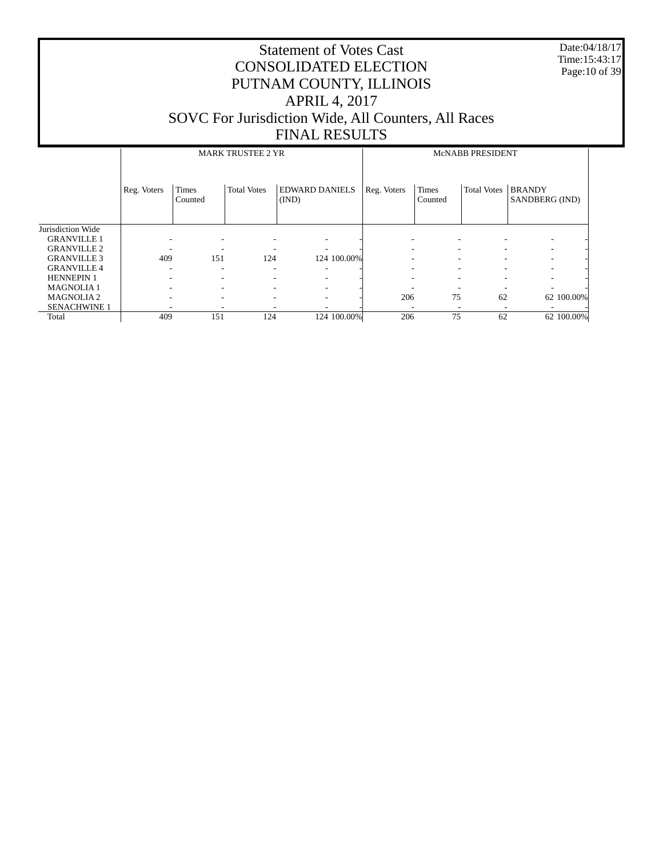Date:04/18/17 Time:15:43:17 Page:10 of 39

|                     |             |                         | <b>MARK TRUSTEE 2 YR</b> |                                | McNABB PRESIDENT         |                         |                    |                                 |  |
|---------------------|-------------|-------------------------|--------------------------|--------------------------------|--------------------------|-------------------------|--------------------|---------------------------------|--|
|                     | Reg. Voters | <b>Times</b><br>Counted | <b>Total Votes</b>       | <b>EDWARD DANIELS</b><br>(IND) | Reg. Voters              | <b>Times</b><br>Counted | <b>Total Votes</b> | <b>BRANDY</b><br>SANDBERG (IND) |  |
| Jurisdiction Wide   |             |                         |                          |                                |                          |                         |                    |                                 |  |
| <b>GRANVILLE 1</b>  |             |                         |                          |                                | ٠                        |                         |                    |                                 |  |
| <b>GRANVILLE 2</b>  |             |                         |                          |                                | ۰                        |                         |                    |                                 |  |
| <b>GRANVILLE 3</b>  | 409         | 151                     | 124                      | 124 100.00%                    |                          |                         |                    |                                 |  |
| <b>GRANVILLE 4</b>  |             | ٠                       | ۰                        |                                |                          |                         |                    |                                 |  |
| <b>HENNEPIN 1</b>   |             |                         |                          |                                |                          |                         |                    |                                 |  |
| <b>MAGNOLIA1</b>    |             |                         |                          |                                |                          |                         |                    |                                 |  |
| <b>MAGNOLIA2</b>    |             | -                       |                          |                                | 206                      | 75                      | 62                 | 62 100.00%                      |  |
| <b>SENACHWINE 1</b> |             | ۰                       |                          |                                | $\overline{\phantom{a}}$ |                         |                    |                                 |  |
| Total               | 409         | 151                     | 124                      | 124 100.00%                    | 206                      | 75                      | 62                 | 62 100.00%                      |  |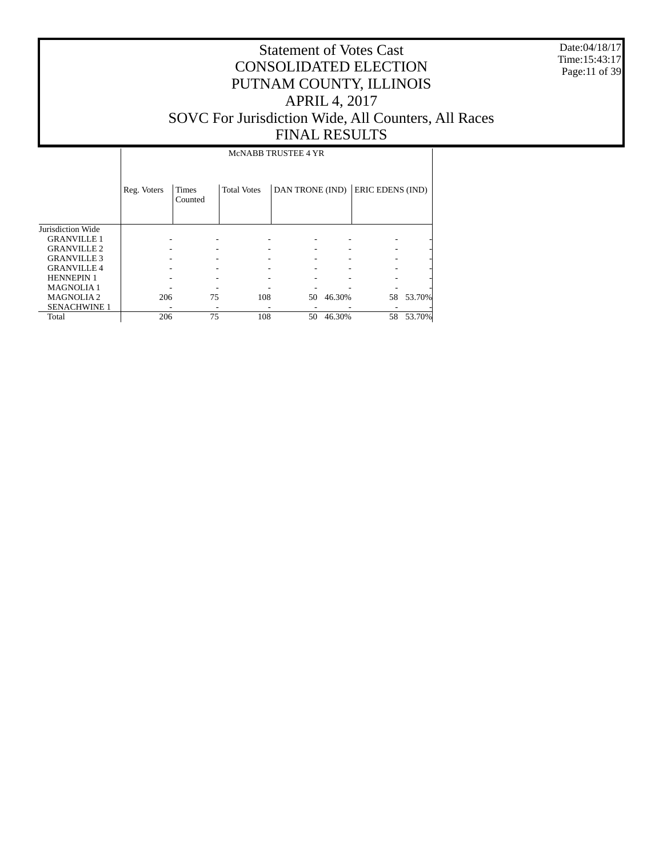Date:04/18/17 Time:15:43:17 Page:11 of 39

# Statement of Votes Cast CONSOLIDATED ELECTION PUTNAM COUNTY, ILLINOIS APRIL 4, 2017 SOVC For Jurisdiction Wide, All Counters, All Races FINAL RESULTS

McNABB TRUSTEE 4 YR

|                     | Reg. Voters | Times<br>Counted | <b>Total Votes</b> | DAN TRONE (IND) |        | ERIC EDENS (IND) |           |
|---------------------|-------------|------------------|--------------------|-----------------|--------|------------------|-----------|
| Jurisdiction Wide   |             |                  |                    |                 |        |                  |           |
| <b>GRANVILLE 1</b>  |             |                  |                    |                 |        |                  |           |
| <b>GRANVILLE 2</b>  |             |                  |                    |                 |        |                  |           |
| <b>GRANVILLE 3</b>  |             |                  |                    |                 |        |                  |           |
| <b>GRANVILLE 4</b>  |             |                  |                    |                 |        |                  |           |
| <b>HENNEPIN 1</b>   |             |                  |                    |                 |        |                  |           |
| <b>MAGNOLIA1</b>    |             |                  |                    |                 |        |                  |           |
| <b>MAGNOLIA2</b>    | 206         | 75               | 108                | 50              | 46.30% |                  | 58 53.70% |
| <b>SENACHWINE 1</b> |             |                  |                    |                 |        |                  |           |
| Total               | 206         | 75               | 108                | 50              | 46.30% | 58               | 53.70%    |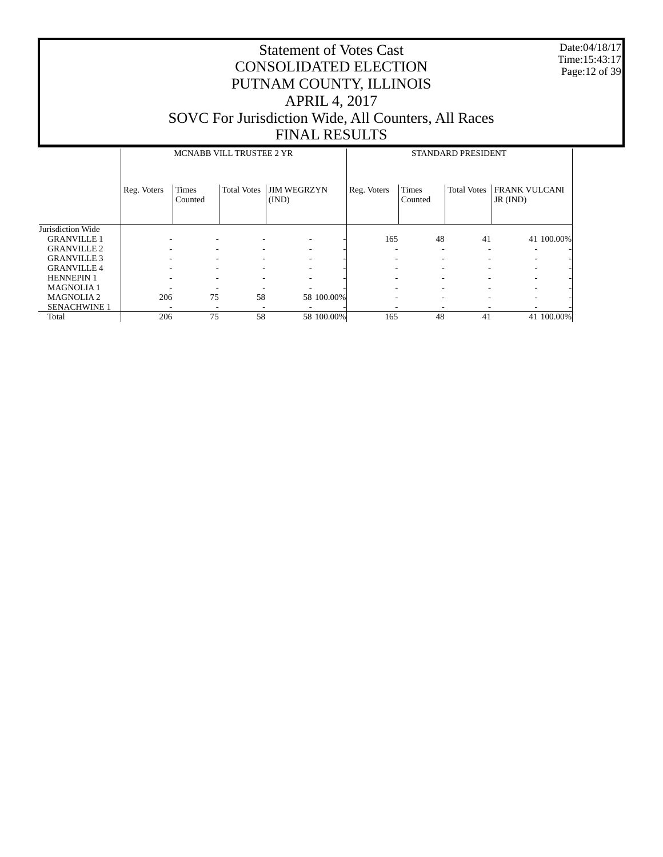Date:04/18/17 Time:15:43:17 Page:12 of 39

|                     |             | MCNABB VILL TRUSTEE 2 YR |                    |                             | STANDARD PRESIDENT |                         |                    |                                        |            |  |
|---------------------|-------------|--------------------------|--------------------|-----------------------------|--------------------|-------------------------|--------------------|----------------------------------------|------------|--|
|                     | Reg. Voters | <b>Times</b><br>Counted  | <b>Total Votes</b> | <b>JIM WEGRZYN</b><br>(IND) | Reg. Voters        | <b>Times</b><br>Counted | <b>Total Votes</b> | <b>FRANK VULCANI</b><br>$JR$ ( $IND$ ) |            |  |
| Jurisdiction Wide   |             |                          |                    |                             |                    |                         |                    |                                        |            |  |
| <b>GRANVILLE 1</b>  |             |                          |                    |                             | 165                | 48                      | 41                 |                                        | 41 100.00% |  |
| <b>GRANVILLE 2</b>  |             |                          | ۰                  | -                           |                    | ۰                       |                    |                                        |            |  |
| <b>GRANVILLE 3</b>  |             |                          | ۰                  | -                           |                    |                         |                    |                                        |            |  |
| <b>GRANVILLE 4</b>  |             |                          | ۰                  |                             |                    |                         |                    |                                        |            |  |
| <b>HENNEPIN 1</b>   |             |                          |                    |                             |                    |                         |                    |                                        |            |  |
| <b>MAGNOLIA1</b>    |             |                          |                    |                             |                    |                         |                    |                                        |            |  |
| <b>MAGNOLIA2</b>    | 206         | 75                       | 58                 | 58 100.00%                  | -                  |                         |                    |                                        |            |  |
| <b>SENACHWINE 1</b> |             |                          |                    |                             |                    |                         |                    |                                        |            |  |
| Total               | 206         | 75                       | 58                 | 58 100.00%                  | 165                | 48                      | 41                 |                                        | 41 100.00% |  |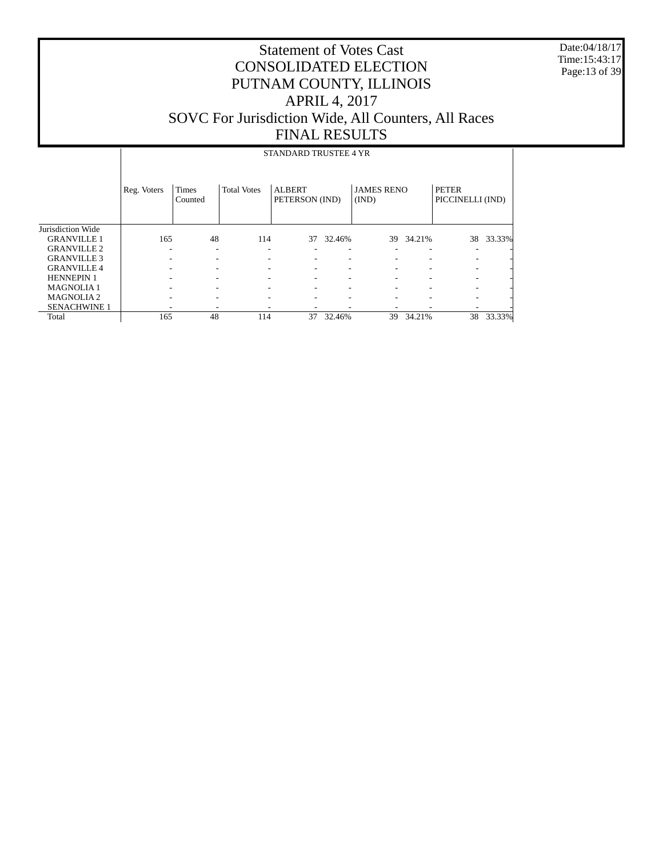Date:04/18/17 Time:15:43:17 Page:13 of 39

|                     |             |                          |                          | STANDARD TRUSTEE 4 YR           |        |                            |        |                                  |           |
|---------------------|-------------|--------------------------|--------------------------|---------------------------------|--------|----------------------------|--------|----------------------------------|-----------|
|                     | Reg. Voters | <b>Times</b><br>Counted  | <b>Total Votes</b>       | <b>ALBERT</b><br>PETERSON (IND) |        | <b>JAMES RENO</b><br>(IND) |        | <b>PETER</b><br>PICCINELLI (IND) |           |
| Jurisdiction Wide   |             |                          |                          |                                 |        |                            |        |                                  |           |
| <b>GRANVILLE 1</b>  | 165         | 48                       | 114                      | 37                              | 32.46% | 39                         | 34.21% |                                  | 38 33.33% |
| <b>GRANVILLE 2</b>  |             | $\overline{\phantom{a}}$ | $\overline{\phantom{a}}$ |                                 | ۰      |                            |        |                                  |           |
| <b>GRANVILLE 3</b>  |             |                          |                          |                                 |        |                            |        | $\overline{\phantom{a}}$         |           |
| <b>GRANVILLE 4</b>  |             |                          |                          |                                 |        |                            |        | $\overline{\phantom{a}}$         |           |
| <b>HENNEPIN 1</b>   |             |                          |                          |                                 |        |                            |        | $\overline{\phantom{a}}$         |           |
| <b>MAGNOLIA1</b>    |             |                          |                          |                                 |        |                            |        |                                  |           |
| <b>MAGNOLIA2</b>    |             |                          |                          |                                 |        |                            |        |                                  |           |
| <b>SENACHWINE 1</b> |             |                          |                          |                                 |        |                            |        |                                  |           |
| Total               | 165         | 48                       | 114                      | 37                              | 32.46% | 39                         | 34.21% | 38                               | 33.33%    |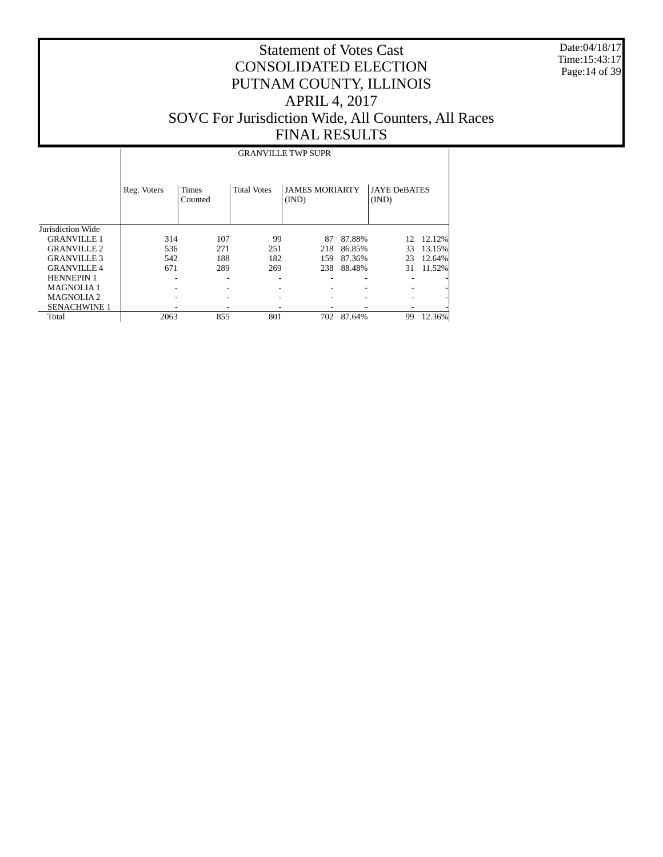Date:04/18/17 Time:15:43:17 Page:14 of 39

#### Statement of Votes Cast CONSOLIDATED ELECTION PUTNAM COUNTY, ILLINOIS APRIL 4, 2017 SOVC For Jurisdiction Wide, All Counters, All Races FINAL RESULTS

 Jurisdiction Wide GRANVILLE 1 GRANVILLE 2 GRANVILLE 3 GRANVILLE 4 HENNEPIN 1 MAGNOLIA 1 MAGNOLIA 2 SENACHWINE 1 Total Reg. Voters | Times Counted Total Votes | JAMES MORIARTY (IND) JAYE DeBATES (IND) GRANVILLE TWP SUPR 314 107 99 87 87.88% 12 12.12%<br>536 271 251 218 86.85% 33 13.15% 536 271 251 218 86.85% 342 188 182 159 87.36% 542 188 182 159 87.36% 23 12.64% 238 88.48% - - - - - - - - - - - - - - - - - - - - - - - - - - - - 2063 855 801 702 87.64% 99 12.36%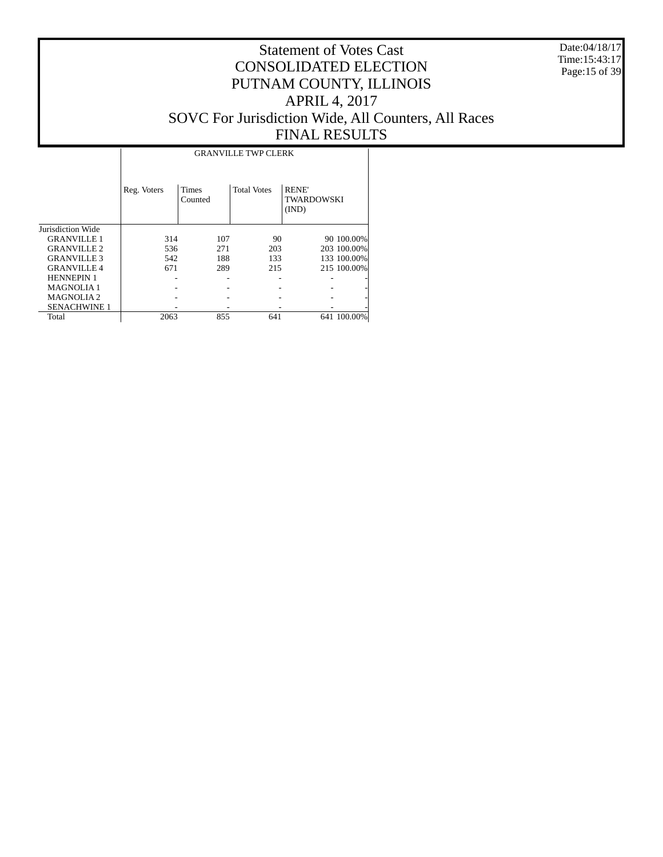Date:04/18/17 Time:15:43:17 Page:15 of 39

#### Statement of Votes Cast CONSOLIDATED ELECTION PUTNAM COUNTY, ILLINOIS APRIL 4, 2017 SOVC For Jurisdiction Wide, All Counters, All Races FINAL RESULTS

T

|                     |             |                         | <b>GRANVILLE TWP CLERK</b> |                                    |             |
|---------------------|-------------|-------------------------|----------------------------|------------------------------------|-------------|
|                     | Reg. Voters | <b>Times</b><br>Counted | <b>Total Votes</b>         | <b>RENE</b><br>TWARDOWSKI<br>(IND) |             |
| Jurisdiction Wide   |             |                         |                            |                                    |             |
| <b>GRANVILLE 1</b>  | 314         | 107                     | 90                         |                                    | 90 100.00%  |
| <b>GRANVILLE 2</b>  | 536         | 271                     | 203                        |                                    | 203 100.00% |
| <b>GRANVILLE 3</b>  | 542         | 188                     | 133                        |                                    | 133 100.00% |
| <b>GRANVILLE 4</b>  | 671         | 289                     | 215                        |                                    | 215 100.00% |
| <b>HENNEPIN 1</b>   |             |                         |                            |                                    |             |
| <b>MAGNOLIA1</b>    |             |                         |                            |                                    |             |
| <b>MAGNOLIA2</b>    |             |                         |                            |                                    |             |
| <b>SENACHWINE 1</b> |             |                         |                            |                                    |             |
| Total               | 2063        | 855                     | 641                        |                                    | 641 100.00% |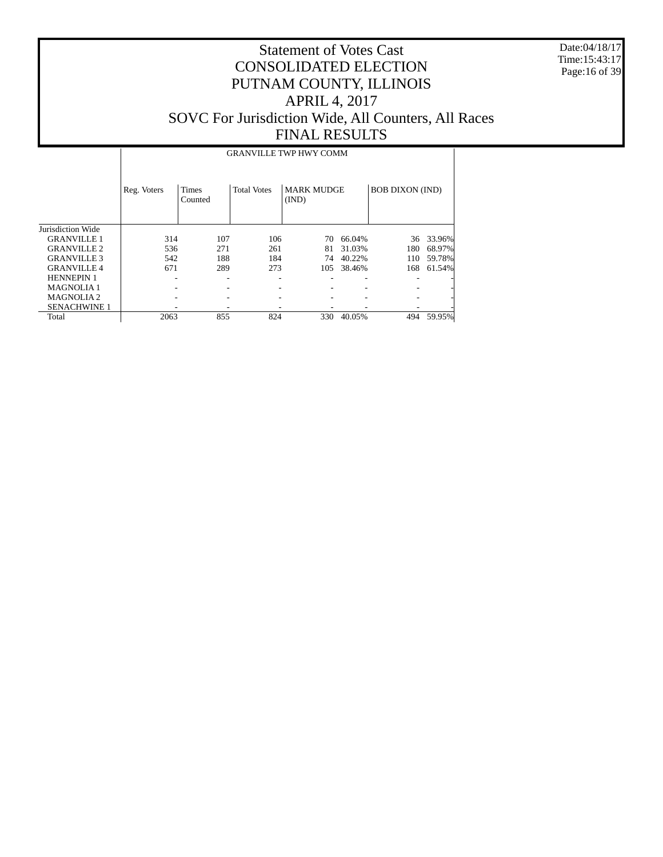Date:04/18/17 Time:15:43:17 Page:16 of 39

# Statement of Votes Cast CONSOLIDATED ELECTION PUTNAM COUNTY, ILLINOIS APRIL 4, 2017 SOVC For Jurisdiction Wide, All Counters, All Races FINAL RESULTS

#### GRANVILLE TWP HWY COMM

|                       | Reg. Voters | <b>Times</b><br>Counted | <b>Total Votes</b> | <b>MARK MUDGE</b><br>(IND) |        | <b>BOB DIXON (IND)</b> |        |
|-----------------------|-------------|-------------------------|--------------------|----------------------------|--------|------------------------|--------|
| Jurisdiction Wide     |             |                         |                    |                            |        |                        |        |
| <b>GRANVILLE 1</b>    | 314         | 107                     | 106                | 70                         | 66.04% | 36                     | 33.96% |
| <b>GRANVILLE 2</b>    | 536         | 271                     | 261                | 81                         | 31.03% | 180                    | 68.97% |
| <b>GRANVILLE 3</b>    | 542         | 188                     | 184                | 74                         | 40.22% | 110                    | 59.78% |
| <b>GRANVILLE 4</b>    | 671         | 289                     | 273                | 105                        | 38.46% | 168                    | 61.54% |
| <b>HENNEPIN 1</b>     |             | ۰                       |                    |                            |        |                        |        |
| <b>MAGNOLIA1</b>      |             |                         |                    |                            |        |                        |        |
| MAGNOLIA <sub>2</sub> |             |                         |                    |                            |        |                        |        |
| <b>SENACHWINE 1</b>   |             |                         |                    |                            |        |                        |        |
| Total                 | 2063        | 855                     | 824                | 330                        | 40.05% | 494                    | 59.95% |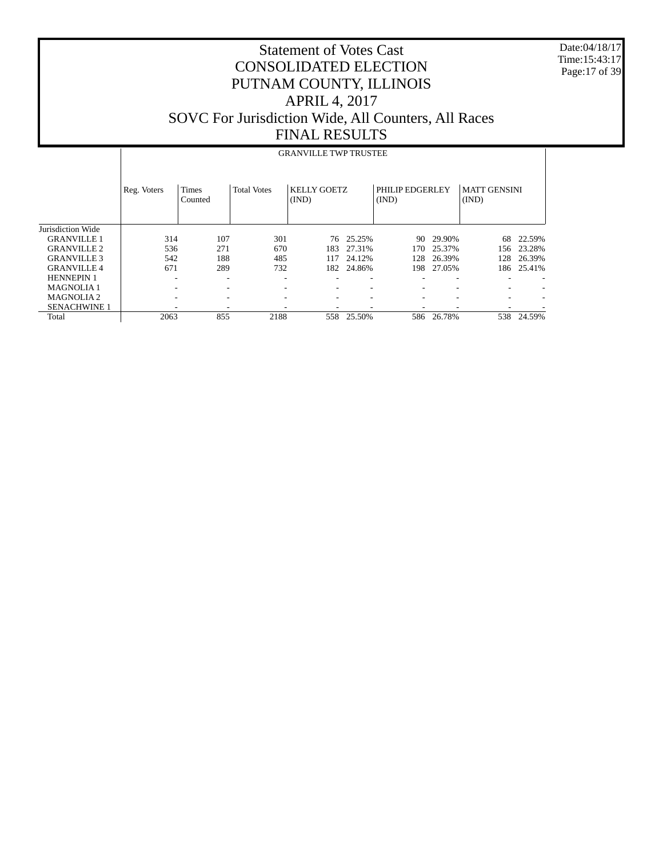Date:04/18/17 Time:15:43:17 Page:17 of 39

## Statement of Votes Cast CONSOLIDATED ELECTION PUTNAM COUNTY, ILLINOIS APRIL 4, 2017 SOVC For Jurisdiction Wide, All Counters, All Races FINAL RESULTS

#### GRANVILLE TWP TRUSTEE

|                     | Reg. Voters | <b>Times</b><br>Counted | <b>Total Votes</b>       | KELLY GOETZ<br>(IND) |                          | PHILIP EDGERLEY<br>(IND) |                          | <b>MATT GENSINI</b><br>(IND) |        |
|---------------------|-------------|-------------------------|--------------------------|----------------------|--------------------------|--------------------------|--------------------------|------------------------------|--------|
| Jurisdiction Wide   |             |                         |                          |                      |                          |                          |                          |                              |        |
| <b>GRANVILLE 1</b>  | 314         | 107                     | 301                      |                      | 76 25.25%                | 90.                      | 29.90%                   | 68                           | 22.59% |
| <b>GRANVILLE 2</b>  | 536         | 271                     | 670                      | 183.                 | 27.31%                   | 170.                     | 25.37%                   | 156                          | 23.28% |
| <b>GRANVILLE 3</b>  | 542         | 188                     | 485                      | 117                  | 24.12%                   | 128                      | 26.39%                   | 128                          | 26.39% |
| <b>GRANVILLE 4</b>  | 671         | 289                     | 732                      |                      | 182 24.86%               | 198                      | 27.05%                   | 186                          | 25.41% |
| <b>HENNEPIN 1</b>   | ۰           | ۰                       | $\overline{\phantom{a}}$ |                      | $\overline{\phantom{a}}$ |                          | $\overline{\phantom{a}}$ |                              |        |
| <b>MAGNOLIA1</b>    |             | ۰                       | $\overline{\phantom{0}}$ |                      |                          |                          |                          |                              |        |
| <b>MAGNOLIA2</b>    |             |                         | $\overline{\phantom{a}}$ |                      |                          |                          |                          |                              |        |
| <b>SENACHWINE 1</b> |             |                         | $\overline{\phantom{0}}$ |                      |                          |                          |                          |                              |        |
| Total               | 2063        | 855                     | 2188                     | 558                  | 25.50%                   | 586                      | 26.78%                   | 538                          | 24.59% |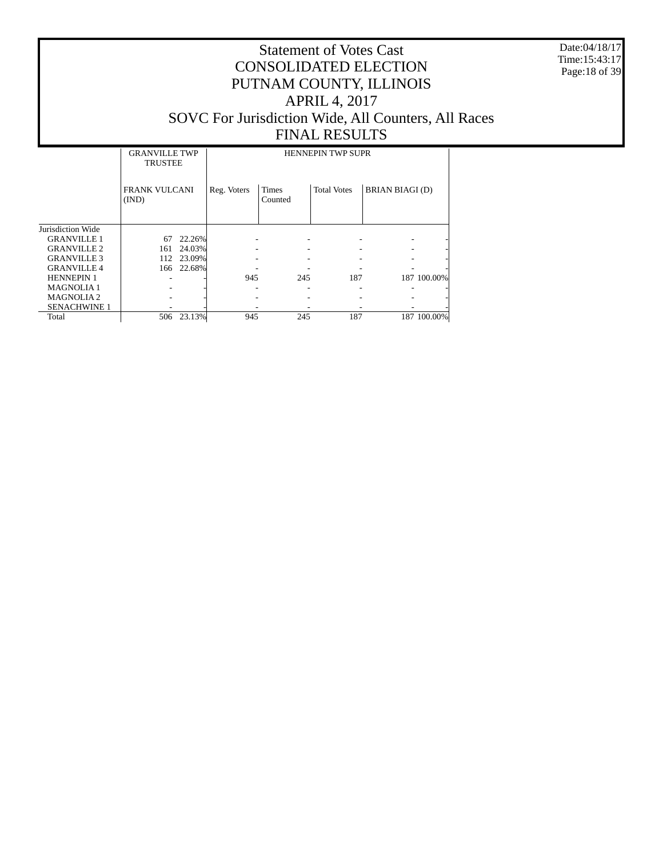Date:04/18/17 Time:15:43:17 Page:18 of 39

|                     | <b>GRANVILLE TWP</b><br><b>TRUSTEE</b> |        |             | <b>HENNEPIN TWP SUPR</b> |                    |                        |  |  |  |  |  |
|---------------------|----------------------------------------|--------|-------------|--------------------------|--------------------|------------------------|--|--|--|--|--|
|                     | <b>FRANK VULCANI</b><br>(IND)          |        | Reg. Voters | <b>Times</b><br>Counted  | <b>Total Votes</b> | <b>BRIAN BIAGI (D)</b> |  |  |  |  |  |
| Jurisdiction Wide   |                                        |        |             |                          |                    |                        |  |  |  |  |  |
| <b>GRANVILLE 1</b>  | 67                                     | 22.26% |             |                          |                    |                        |  |  |  |  |  |
| <b>GRANVILLE 2</b>  | 161                                    | 24.03% |             |                          |                    |                        |  |  |  |  |  |
| <b>GRANVILLE 3</b>  | 112                                    | 23.09% |             |                          |                    |                        |  |  |  |  |  |
| <b>GRANVILLE 4</b>  | 166                                    | 22.68% |             |                          |                    |                        |  |  |  |  |  |
| <b>HENNEPIN 1</b>   |                                        |        | 945         | 245                      | 187                | 187 100.00%            |  |  |  |  |  |
| <b>MAGNOLIA1</b>    |                                        |        |             |                          |                    |                        |  |  |  |  |  |
| <b>MAGNOLIA2</b>    |                                        |        |             |                          |                    |                        |  |  |  |  |  |
| <b>SENACHWINE 1</b> |                                        |        |             |                          |                    |                        |  |  |  |  |  |
| Total               | 506                                    | 23.13% | 945         | 245                      | 187                | 187 100.00%            |  |  |  |  |  |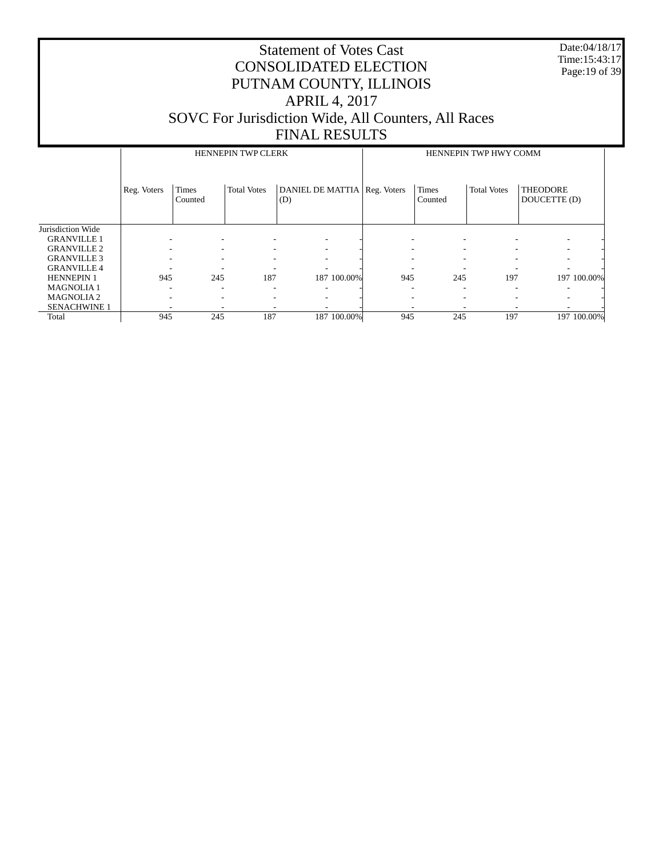Date:04/18/17 Time:15:43:17 Page:19 of 39

|                     |             |                  | <b>HENNEPIN TWP CLERK</b> |                                       | HENNEPIN TWP HWY COMM |                  |                          |                                 |  |
|---------------------|-------------|------------------|---------------------------|---------------------------------------|-----------------------|------------------|--------------------------|---------------------------------|--|
|                     | Reg. Voters | Times<br>Counted | <b>Total Votes</b>        | DANIEL DE MATTIA   Reg. Voters<br>(D) |                       | Times<br>Counted | <b>Total Votes</b>       | <b>THEODORE</b><br>DOUCETTE (D) |  |
| Jurisdiction Wide   |             |                  |                           |                                       |                       |                  |                          |                                 |  |
| <b>GRANVILLE 1</b>  |             |                  |                           |                                       |                       |                  |                          |                                 |  |
| <b>GRANVILLE 2</b>  | -           | ۰                |                           |                                       |                       |                  |                          | $\overline{\phantom{a}}$        |  |
| <b>GRANVILLE 3</b>  | ۰           |                  |                           |                                       |                       |                  |                          | ۰                               |  |
| <b>GRANVILLE 4</b>  | ۰           |                  |                           |                                       |                       |                  |                          | -                               |  |
| <b>HENNEPIN 1</b>   | 945         | 245              | 187                       | 187 100.00%                           | 945                   | 245              | 197                      | 197 100.00%                     |  |
| <b>MAGNOLIA1</b>    | ۰           | -                |                           |                                       |                       |                  | $\overline{\phantom{a}}$ | -                               |  |
| <b>MAGNOLIA2</b>    | ۰           | ٠                |                           |                                       |                       |                  |                          | -                               |  |
| <b>SENACHWINE 1</b> |             |                  |                           |                                       |                       |                  |                          |                                 |  |
| Total               | 945         | 245              | 187                       | 187 100.00%                           | 945                   | 245              | 197                      | 197 100.00%                     |  |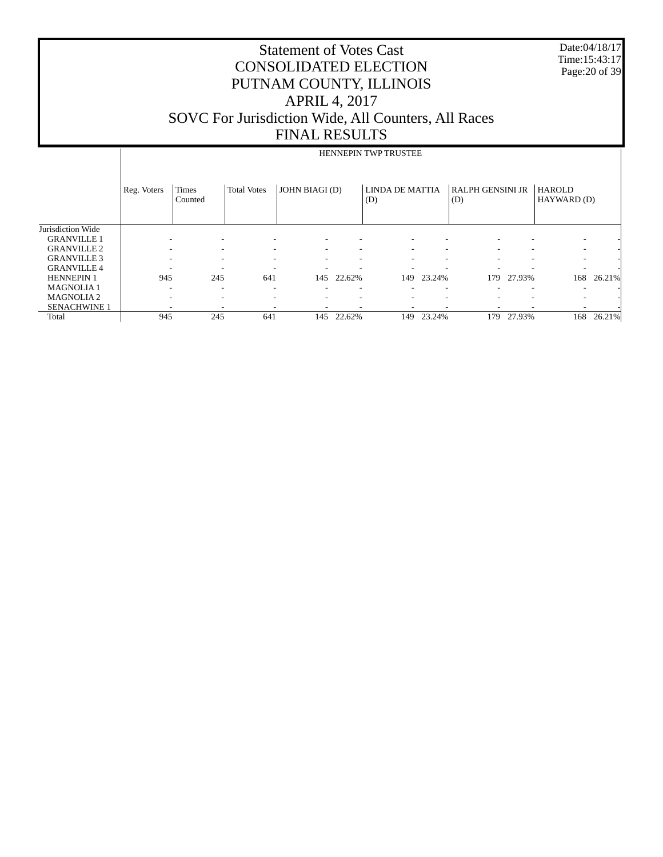Date:04/18/17 Time:15:43:17 Page:20 of 39

|             | <b>HENNEPIN TWP TRUSTEE</b> |                          |                                                                                                                            |                          |                |                          |                        |                                 |                         |                                                               |
|-------------|-----------------------------|--------------------------|----------------------------------------------------------------------------------------------------------------------------|--------------------------|----------------|--------------------------|------------------------|---------------------------------|-------------------------|---------------------------------------------------------------|
| Reg. Voters | <b>Times</b><br>Counted     | <b>Total Votes</b>       |                                                                                                                            |                          | (D)            |                          | (D)                    |                                 | <b>HAROLD</b>           |                                                               |
|             |                             |                          |                                                                                                                            |                          |                |                          |                        |                                 |                         |                                                               |
|             |                             | ٠                        |                                                                                                                            |                          |                |                          |                        |                                 |                         |                                                               |
|             |                             | -                        | ٠                                                                                                                          |                          |                |                          | -                      |                                 |                         |                                                               |
|             |                             | -                        | -                                                                                                                          | $\overline{\phantom{a}}$ |                |                          | ۰                      |                                 |                         |                                                               |
|             |                             | $\overline{\phantom{a}}$ |                                                                                                                            |                          |                |                          |                        |                                 |                         |                                                               |
|             |                             | 641                      | 145                                                                                                                        | 22.62%                   | 149            |                          | 179                    |                                 | 168                     | 26.21%                                                        |
|             |                             | ۰                        |                                                                                                                            |                          |                |                          |                        |                                 |                         |                                                               |
|             |                             | ۰                        |                                                                                                                            |                          |                |                          |                        |                                 |                         |                                                               |
|             |                             |                          |                                                                                                                            |                          |                |                          |                        |                                 |                         |                                                               |
|             |                             | 641                      | 145                                                                                                                        | 22.62%                   |                |                          | 179                    |                                 | 168                     | 26.21%                                                        |
|             |                             | 945<br>945               | $\overline{\phantom{a}}$<br>$\overline{\phantom{a}}$<br>$\overline{\phantom{a}}$<br>245<br>$\overline{\phantom{a}}$<br>245 |                          | JOHN BIAGI (D) | $\overline{\phantom{a}}$ | LINDA DE MATTIA<br>149 | ٠<br>-<br>٠<br>23.24%<br>23.24% | <b>RALPH GENSINI JR</b> | HAYWARD (D)<br>-<br>-<br>-<br>-<br>27.93%<br>۰<br>-<br>27.93% |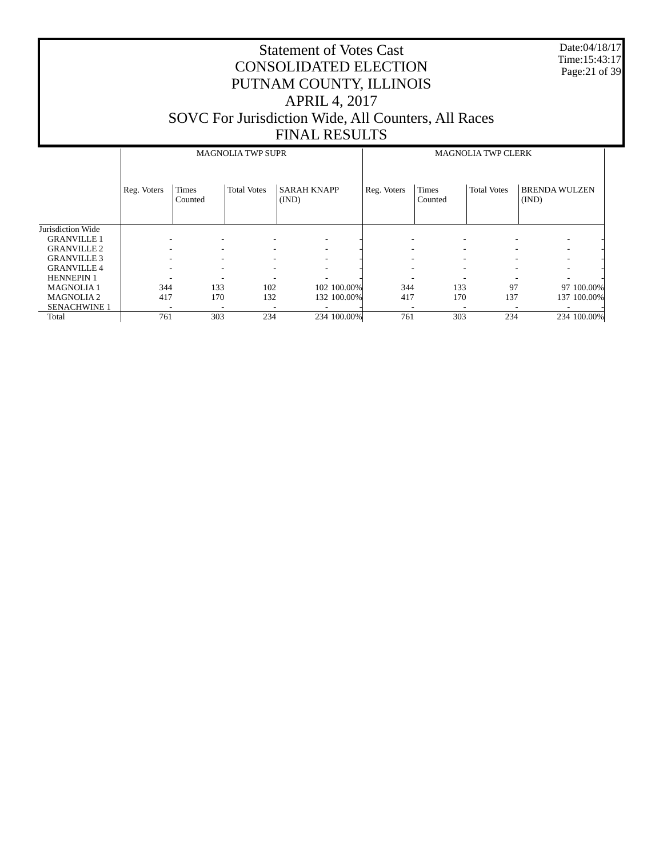Date:04/18/17 Time:15:43:17 Page:21 of 39

|                     |             |                         | <b>MAGNOLIA TWP SUPR</b> |                             | <b>MAGNOLIA TWP CLERK</b> |                  |                    |                               |  |
|---------------------|-------------|-------------------------|--------------------------|-----------------------------|---------------------------|------------------|--------------------|-------------------------------|--|
|                     | Reg. Voters | <b>Times</b><br>Counted | <b>Total Votes</b>       | <b>SARAH KNAPP</b><br>(IND) | Reg. Voters               | Times<br>Counted | <b>Total Votes</b> | <b>BRENDA WULZEN</b><br>(IND) |  |
| Jurisdiction Wide   |             |                         |                          |                             |                           |                  |                    |                               |  |
| <b>GRANVILLE 1</b>  |             |                         |                          |                             |                           |                  |                    | $\overline{\phantom{a}}$      |  |
| <b>GRANVILLE 2</b>  |             | ٠                       |                          |                             |                           | ۰                |                    | $\overline{\phantom{a}}$      |  |
| <b>GRANVILLE 3</b>  |             | ۰.                      |                          |                             |                           |                  |                    | ۰                             |  |
| <b>GRANVILLE 4</b>  |             |                         |                          |                             |                           |                  |                    |                               |  |
| <b>HENNEPIN 1</b>   | -           | -                       |                          |                             |                           |                  |                    | ۰                             |  |
| <b>MAGNOLIA1</b>    | 344         | 133                     | 102                      | 102 100.00%                 | 344                       | 133              | 97                 | 97 100.00%                    |  |
| <b>MAGNOLIA2</b>    | 417         | 170                     | 132                      | 132 100.00%                 | 417                       | 170              | 137                | 137 100.00%                   |  |
| <b>SENACHWINE 1</b> | -           | -                       |                          |                             |                           |                  |                    |                               |  |
| Total               | 761         | 303                     | 234                      | 234 100.00%                 | 761                       | 303              | 234                | 234 100.00%                   |  |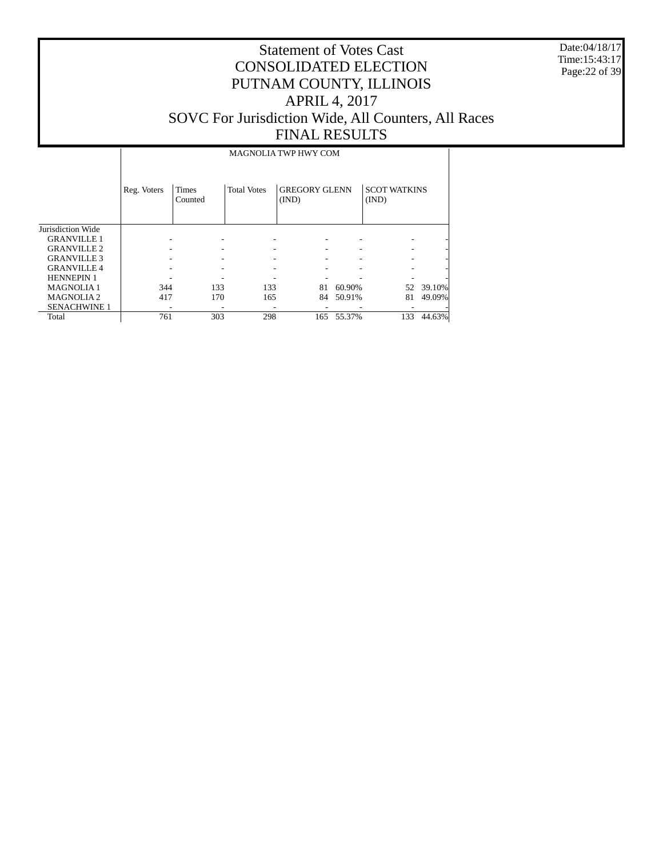Date:04/18/17 Time:15:43:17 Page:22 of 39

# Statement of Votes Cast CONSOLIDATED ELECTION PUTNAM COUNTY, ILLINOIS APRIL 4, 2017 SOVC For Jurisdiction Wide, All Counters, All Races FINAL RESULTS

MAGNOLIA TWP HWY COM

|                     | Reg. Voters | <b>Times</b><br>Counted | <b>Total Votes</b> | <b>GREGORY GLENN</b><br>(IND) |        | <b>SCOT WATKINS</b><br>(IND) |        |
|---------------------|-------------|-------------------------|--------------------|-------------------------------|--------|------------------------------|--------|
| Jurisdiction Wide   |             |                         |                    |                               |        |                              |        |
| <b>GRANVILLE 1</b>  |             |                         |                    |                               |        |                              |        |
| <b>GRANVILLE 2</b>  | ۰           |                         |                    |                               |        |                              |        |
| <b>GRANVILLE 3</b>  |             |                         |                    |                               |        |                              |        |
| <b>GRANVILLE 4</b>  |             |                         |                    |                               |        |                              |        |
| <b>HENNEPIN 1</b>   |             |                         |                    |                               |        |                              |        |
| <b>MAGNOLIA1</b>    | 344         | 133                     | 133                | 81                            | 60.90% | 52                           | 39.10% |
| <b>MAGNOLIA2</b>    | 417         | 170                     | 165                | 84                            | 50.91% | 81                           | 49.09% |
| <b>SENACHWINE 1</b> |             |                         |                    |                               |        |                              |        |
| Total               | 761         | 303                     | 298                | 165                           | 55.37% | 133                          | 44.63% |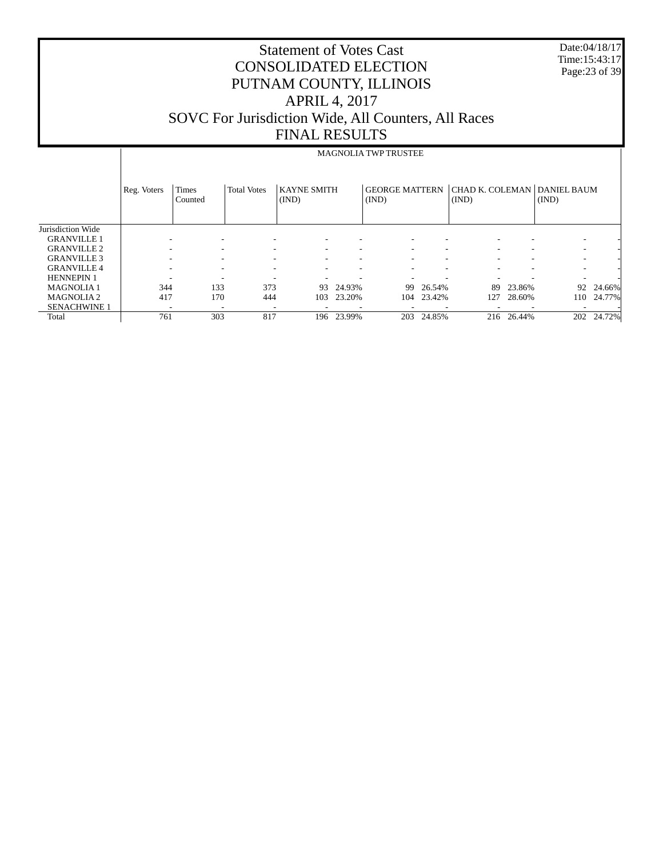| <b>CONSOLIDATED ELECTION</b><br>PUTNAM COUNTY, ILLINOIS<br><b>APRIL 4, 2017</b><br>SOVC For Jurisdiction Wide, All Counters, All Races<br><b>FINAL RESULTS</b> |                         |                    |       |        |                    |                                              |                             |  | Date:04/18/17<br>Time: 15:43:17<br>Page: 23 of 39 |                                                                                     |
|----------------------------------------------------------------------------------------------------------------------------------------------------------------|-------------------------|--------------------|-------|--------|--------------------|----------------------------------------------|-----------------------------|--|---------------------------------------------------|-------------------------------------------------------------------------------------|
|                                                                                                                                                                |                         |                    |       |        |                    |                                              |                             |  |                                                   |                                                                                     |
|                                                                                                                                                                |                         |                    |       |        |                    |                                              |                             |  |                                                   |                                                                                     |
| Reg. Voters                                                                                                                                                    | <b>Times</b><br>Counted | <b>Total Votes</b> | (IND) |        | (IND)              |                                              | (IND)                       |  | (IND)                                             |                                                                                     |
|                                                                                                                                                                |                         |                    |       |        |                    |                                              |                             |  |                                                   |                                                                                     |
|                                                                                                                                                                |                         |                    |       |        |                    |                                              |                             |  |                                                   |                                                                                     |
|                                                                                                                                                                |                         |                    |       |        |                    |                                              |                             |  |                                                   |                                                                                     |
|                                                                                                                                                                |                         |                    |       |        |                    |                                              |                             |  |                                                   |                                                                                     |
|                                                                                                                                                                |                         |                    |       |        |                    |                                              |                             |  |                                                   |                                                                                     |
|                                                                                                                                                                | 133                     | 373                | 93    | 24.93% | 99                 | 26.54%                                       |                             |  | 92                                                | 24.66%                                                                              |
|                                                                                                                                                                | 170                     | 444                | 103   | 23.20% | 104                | 23.42%                                       | 127                         |  | 110                                               | 24.77%                                                                              |
|                                                                                                                                                                | 303                     | 817                |       |        |                    | 24.85%                                       |                             |  | 202                                               | 24.72%                                                                              |
|                                                                                                                                                                |                         | 344<br>417<br>761  |       |        | <b>KAYNE SMITH</b> | <b>Statement of Votes Cast</b><br>196 23.99% | MAGNOLIA TWP TRUSTEE<br>203 |  |                                                   | <b>GEORGE MATTERN CHAD K. COLEMAN DANIEL BAUM</b><br>23.86%<br>28.60%<br>216 26.44% |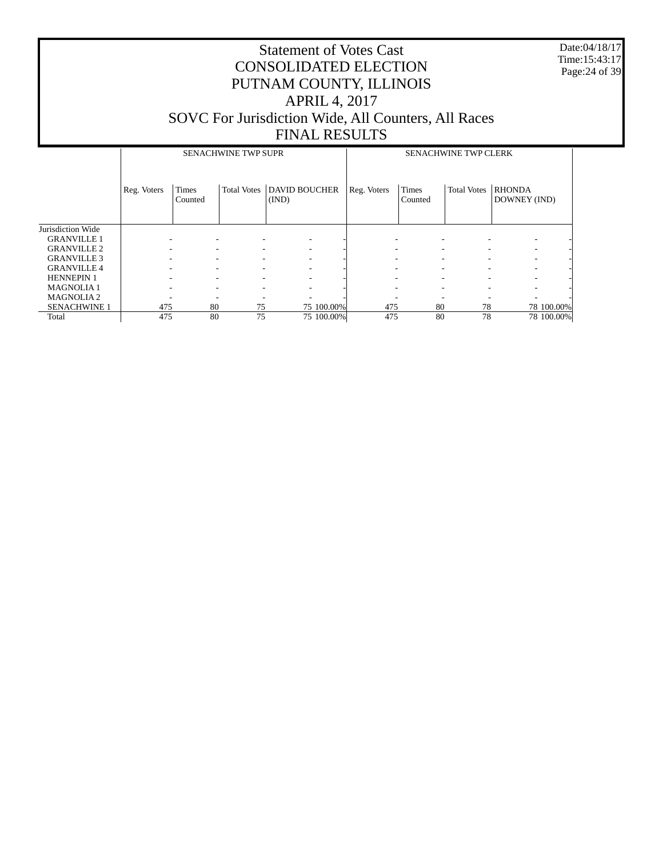Date:04/18/17 Time:15:43:17 Page:24 of 39

|                     |             |                  | <b>SENACHWINE TWP SUPR</b> |                               |             |                          | <b>SENACHWINE TWP CLERK</b> |                               |
|---------------------|-------------|------------------|----------------------------|-------------------------------|-------------|--------------------------|-----------------------------|-------------------------------|
|                     | Reg. Voters | Times<br>Counted | <b>Total Votes</b>         | <b>DAVID BOUCHER</b><br>(IND) | Reg. Voters | <b>Times</b><br>Counted  | <b>Total Votes</b>          | <b>RHONDA</b><br>DOWNEY (IND) |
| Jurisdiction Wide   |             |                  |                            |                               |             |                          |                             |                               |
| <b>GRANVILLE 1</b>  |             |                  |                            | ۰                             |             |                          |                             |                               |
| <b>GRANVILLE 2</b>  |             |                  |                            | ٠                             |             | $\overline{\phantom{a}}$ | ۰                           |                               |
| <b>GRANVILLE 3</b>  |             |                  |                            | ۰.                            |             | ٠                        |                             |                               |
| <b>GRANVILLE 4</b>  |             |                  |                            | -                             |             |                          |                             |                               |
| <b>HENNEPIN 1</b>   |             |                  |                            | ۰.                            |             | $\overline{\phantom{a}}$ |                             |                               |
| <b>MAGNOLIA1</b>    |             |                  |                            | ۰.                            |             | $\overline{\phantom{a}}$ |                             |                               |
| <b>MAGNOLIA2</b>    |             |                  |                            |                               |             |                          |                             |                               |
| <b>SENACHWINE 1</b> | 475         | 80               | 75                         | 75 100,00%                    | 475         | 80                       | 78                          | 78 100.00%                    |
| Total               | 475         | 80               | 75                         | 75 100.00%                    | 475         | 80                       | 78                          | 78 100.00%                    |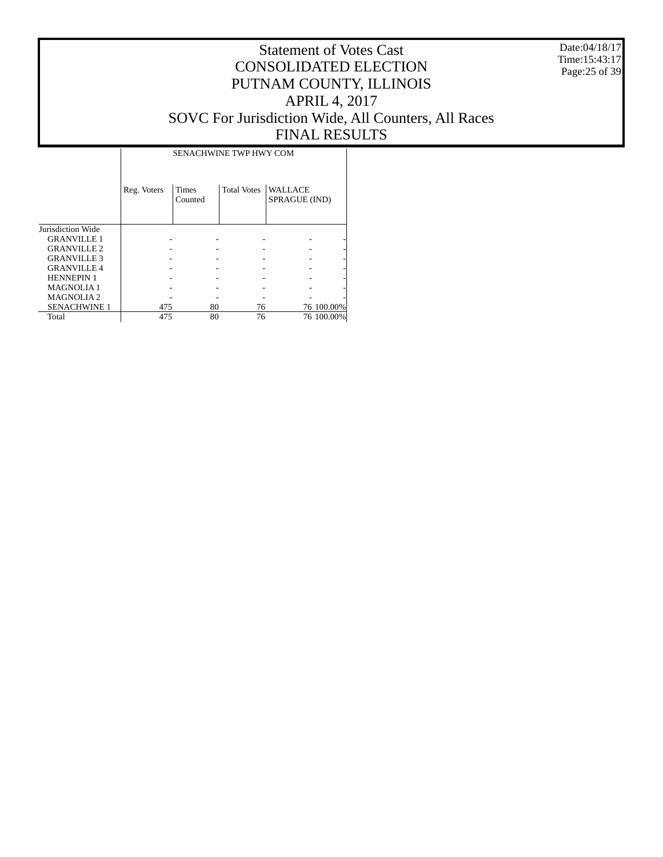Date:04/18/17 Time:15:43:17 Page:25 of 39

# Statement of Votes Cast CONSOLIDATED ELECTION PUTNAM COUNTY, ILLINOIS APRIL 4, 2017 SOVC For Jurisdiction Wide, All Counters, All Races FINAL RESULTS

 $\overline{\phantom{a}}$ 

|                     | Reg. Voters | <b>Times</b><br>Counted | <b>Total Votes</b> | <b>WALLACE</b><br>SPRAGUE (IND) |            |
|---------------------|-------------|-------------------------|--------------------|---------------------------------|------------|
| Jurisdiction Wide   |             |                         |                    |                                 |            |
| <b>GRANVILLE 1</b>  |             |                         |                    |                                 |            |
| <b>GRANVILLE 2</b>  |             |                         |                    |                                 |            |
| <b>GRANVILLE 3</b>  |             |                         |                    |                                 |            |
| <b>GRANVILLE 4</b>  |             |                         |                    |                                 |            |
| <b>HENNEPIN 1</b>   |             |                         |                    |                                 |            |
| <b>MAGNOLIA1</b>    |             |                         |                    |                                 |            |
| <b>MAGNOLIA2</b>    |             |                         |                    |                                 |            |
| <b>SENACHWINE 1</b> | 475         | 80                      | 76                 |                                 | 76 100.00% |
| Total               | 475         | 80                      | 76                 |                                 | 76 100.00% |

 $\overline{\phantom{a}}$ 

SENACHWINE TWP HWY COM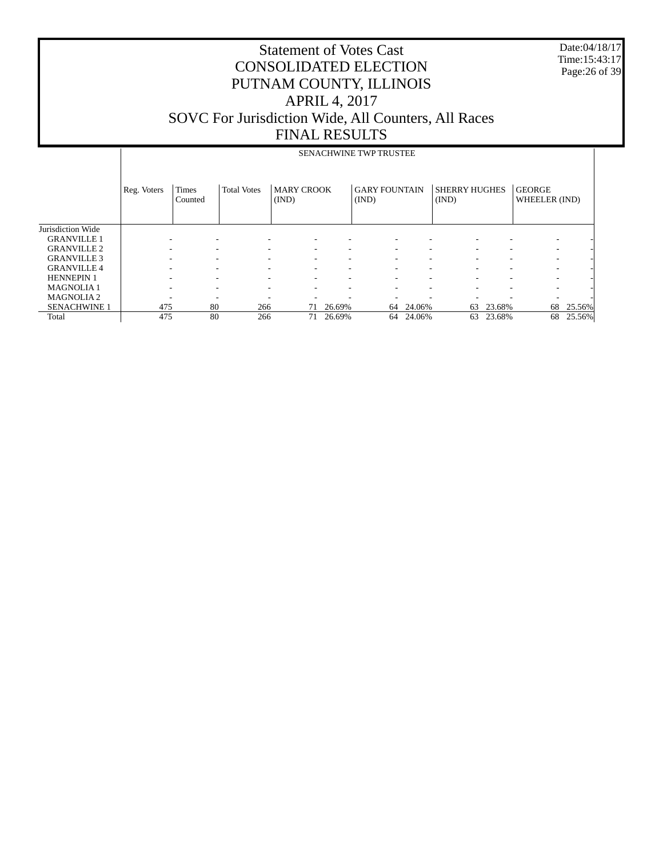Date:04/18/17 Time:15:43:17 Page:26 of 39

|                     |             | <b>SENACHWINE TWP TRUSTEE</b> |                    |                            |        |                               |        |                               |        |                                |        |  |  |
|---------------------|-------------|-------------------------------|--------------------|----------------------------|--------|-------------------------------|--------|-------------------------------|--------|--------------------------------|--------|--|--|
|                     | Reg. Voters | <b>Times</b><br>Counted       | <b>Total Votes</b> | <b>MARY CROOK</b><br>(IND) |        | <b>GARY FOUNTAIN</b><br>(IND) |        | <b>SHERRY HUGHES</b><br>(IND) |        | <b>GEORGE</b><br>WHEELER (IND) |        |  |  |
| Jurisdiction Wide   |             |                               |                    |                            |        |                               |        |                               |        |                                |        |  |  |
| <b>GRANVILLE 1</b>  |             |                               |                    |                            |        |                               |        |                               |        | ۰                              |        |  |  |
| <b>GRANVILLE 2</b>  |             |                               |                    |                            |        |                               | ٠      |                               |        | ۰                              |        |  |  |
| <b>GRANVILLE 3</b>  |             |                               |                    |                            |        |                               | ۰      |                               |        |                                |        |  |  |
| <b>GRANVILLE 4</b>  |             |                               |                    |                            |        |                               | ۰      |                               |        |                                |        |  |  |
| <b>HENNEPIN 1</b>   |             |                               |                    |                            |        |                               | ۰      |                               |        | ۰                              |        |  |  |
| <b>MAGNOLIA1</b>    |             |                               |                    |                            |        |                               | ٠      |                               |        | ۰                              |        |  |  |
| <b>MAGNOLIA2</b>    |             |                               |                    |                            |        |                               |        |                               |        | ٠                              |        |  |  |
| <b>SENACHWINE 1</b> | 475         | 80                            | 266                | 71                         | 26.69% | 64                            | 24.06% | 63                            | 23.68% | 68                             | 25.56% |  |  |
| Total               | 475         | 80                            | 266                | 71                         | 26.69% | 64                            | 24.06% | 63                            | 23.68% | 68                             | 25.56% |  |  |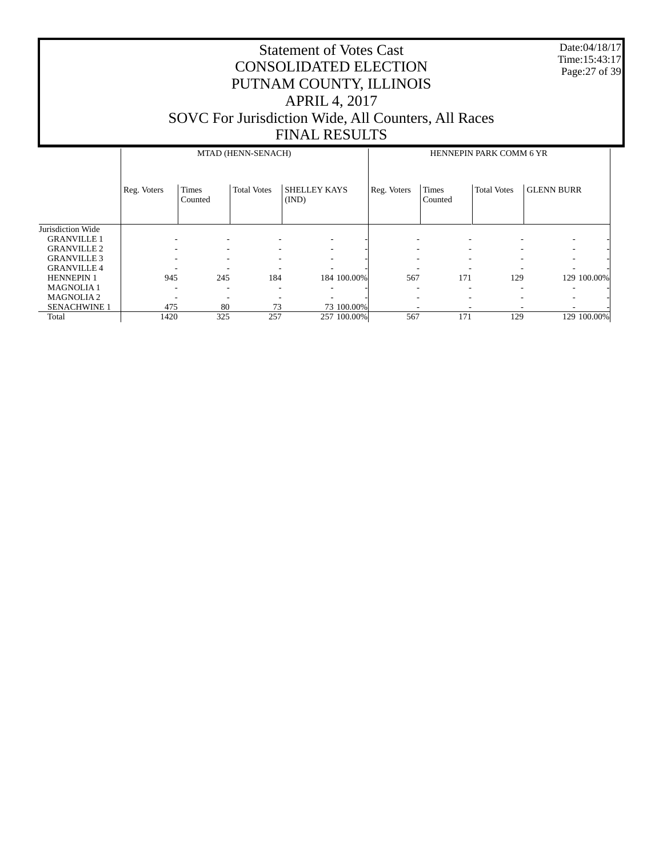Date:04/18/17 Time:15:43:17 Page:27 of 39

|                     |             |                          | MTAD (HENN-SENACH)       |                              | HENNEPIN PARK COMM 6 YR |                               |                    |                          |  |  |
|---------------------|-------------|--------------------------|--------------------------|------------------------------|-------------------------|-------------------------------|--------------------|--------------------------|--|--|
|                     | Reg. Voters | <b>Times</b><br>Counted  | <b>Total Votes</b>       | <b>SHELLEY KAYS</b><br>(IND) | Reg. Voters             | Times<br>Counted              | <b>Total Votes</b> | <b>GLENN BURR</b>        |  |  |
| Jurisdiction Wide   |             |                          |                          |                              |                         |                               |                    |                          |  |  |
| <b>GRANVILLE 1</b>  |             | $\overline{\phantom{a}}$ | $\overline{\phantom{a}}$ |                              |                         |                               |                    |                          |  |  |
| <b>GRANVILLE 2</b>  |             | $\overline{\phantom{a}}$ | $\overline{\phantom{a}}$ | $\overline{\phantom{a}}$     |                         | $\overline{\phantom{a}}$<br>۰ |                    | $\overline{\phantom{0}}$ |  |  |
| <b>GRANVILLE 3</b>  |             | ٠                        | $\overline{\phantom{a}}$ | ۰                            |                         | $\overline{\phantom{a}}$<br>۰ | -                  | $\overline{\phantom{0}}$ |  |  |
| <b>GRANVILLE 4</b>  |             |                          | ٠                        | ۰                            | ۰                       |                               |                    | ۰                        |  |  |
| <b>HENNEPIN 1</b>   | 945         | 245                      | 184                      | 184 100.00%                  | 567                     | 171                           | 129                | 129 100.00%              |  |  |
| <b>MAGNOLIA1</b>    |             | $\overline{\phantom{a}}$ | ٠                        |                              |                         | ۰<br>۰                        |                    | ۰                        |  |  |
| <b>MAGNOLIA2</b>    |             | ٠                        |                          |                              |                         |                               |                    | $\overline{\phantom{a}}$ |  |  |
| <b>SENACHWINE 1</b> | 475         | 80                       | 73                       | 73 100.00%                   |                         |                               |                    |                          |  |  |
| Total               | 1420        | 325                      | 257                      | 257 100.00%                  | 567                     | 171                           | 129                | 129 100.00%              |  |  |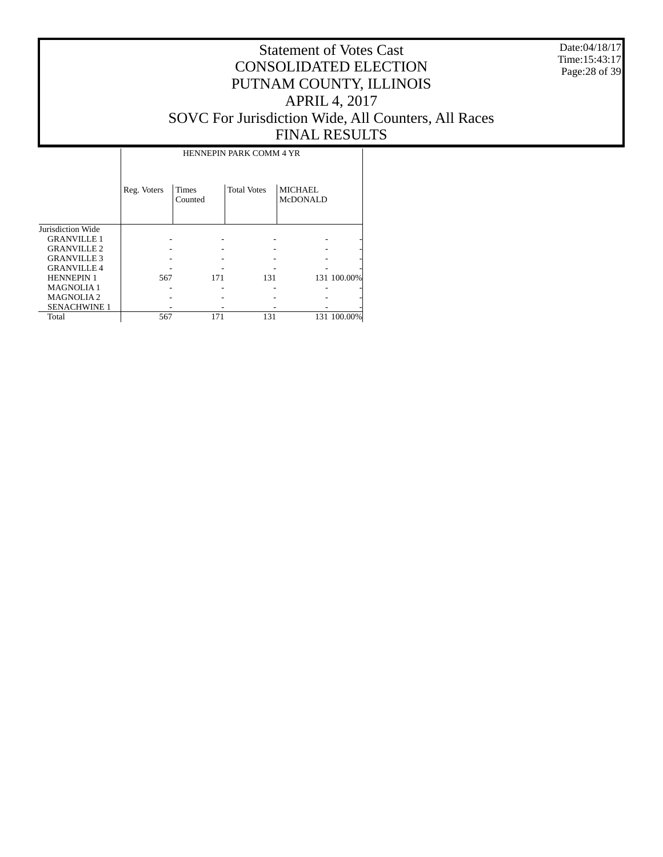Date:04/18/17 Time:15:43:17 Page:28 of 39

|                     |             |                         | <b>HENNEPIN PARK COMM 4 YR</b> |                     |             |
|---------------------|-------------|-------------------------|--------------------------------|---------------------|-------------|
|                     | Reg. Voters | <b>Times</b><br>Counted | <b>Total Votes</b>             | MICHAEL<br>McDONALD |             |
| Jurisdiction Wide   |             |                         |                                |                     |             |
| <b>GRANVILLE 1</b>  |             |                         |                                |                     |             |
| <b>GRANVILLE 2</b>  |             |                         |                                |                     |             |
| <b>GRANVILLE 3</b>  |             |                         |                                |                     |             |
| <b>GRANVILLE 4</b>  |             |                         |                                |                     |             |
| <b>HENNEPIN 1</b>   | 567         | 171                     | 131                            |                     | 131 100.00% |
| <b>MAGNOLIA1</b>    |             |                         |                                |                     |             |
| <b>MAGNOLIA2</b>    |             |                         |                                |                     |             |
| <b>SENACHWINE 1</b> |             |                         |                                |                     |             |
| Total               | 567         | 171                     | 131                            |                     | 131 100.00% |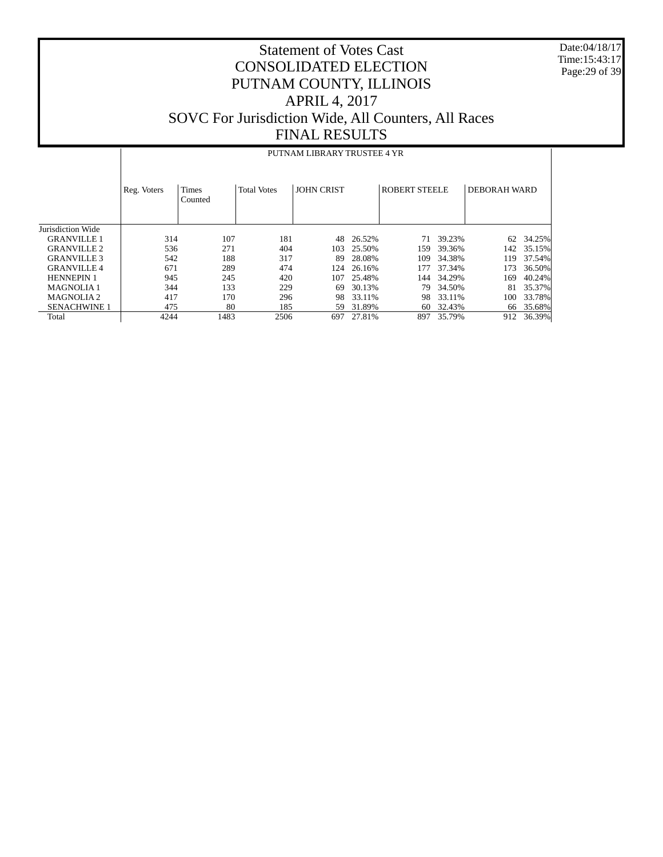Date:04/18/17 Time:15:43:17 Page:29 of 39

|                     |             | PUTNAM LIBRARY TRUSTEE 4 YR |                    |                   |        |                      |        |                     |        |  |  |  |
|---------------------|-------------|-----------------------------|--------------------|-------------------|--------|----------------------|--------|---------------------|--------|--|--|--|
|                     | Reg. Voters | <b>Times</b><br>Counted     | <b>Total Votes</b> | <b>JOHN CRIST</b> |        | <b>ROBERT STEELE</b> |        | <b>DEBORAH WARD</b> |        |  |  |  |
| Jurisdiction Wide   |             |                             |                    |                   |        |                      |        |                     |        |  |  |  |
| <b>GRANVILLE 1</b>  | 314         | 107                         | 181                | 48                | 26.52% | 71                   | 39.23% | 62                  | 34.25% |  |  |  |
| <b>GRANVILLE 2</b>  | 536         | 271                         | 404                | 103               | 25.50% | 159                  | 39.36% | 142                 | 35.15% |  |  |  |
| <b>GRANVILLE 3</b>  | 542         | 188                         | 317                | 89                | 28.08% | 109                  | 34.38% | 119                 | 37.54% |  |  |  |
| <b>GRANVILLE 4</b>  | 671         | 289                         | 474                | 124               | 26.16% | 177                  | 37.34% | 173                 | 36.50% |  |  |  |
| <b>HENNEPIN 1</b>   | 945         | 245                         | 420                | 107               | 25.48% | 144                  | 34.29% | 169                 | 40.24% |  |  |  |
| <b>MAGNOLIA1</b>    | 344         | 133                         | 229                | 69                | 30.13% | 79                   | 34.50% | 81                  | 35.37% |  |  |  |
| <b>MAGNOLIA2</b>    | 417         | 170                         | 296                | 98                | 33.11% | 98                   | 33.11% | 100                 | 33.78% |  |  |  |
| <b>SENACHWINE 1</b> | 475         | 80                          | 185                | 59                | 31.89% | 60                   | 32.43% | 66                  | 35.68% |  |  |  |
| Total               | 4244        | 1483                        | 2506               | 697               | 27.81% | 897                  | 35.79% | 912                 | 36.39% |  |  |  |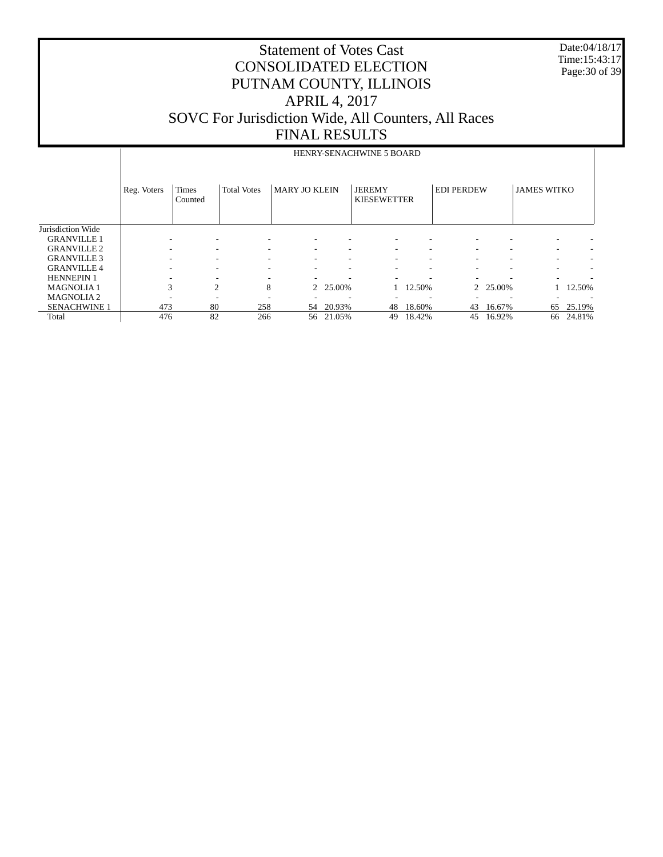Date:04/18/17 Time:15:43:17 Page:30 of 39

|                     |             |                         |                          |                      |        | HENRY-SENACHWINE 5 BOARD            |        |                          |                          |                    |        |
|---------------------|-------------|-------------------------|--------------------------|----------------------|--------|-------------------------------------|--------|--------------------------|--------------------------|--------------------|--------|
|                     | Reg. Voters | <b>Times</b><br>Counted | <b>Total Votes</b>       | <b>MARY JO KLEIN</b> |        | <b>JEREMY</b><br><b>KIESEWETTER</b> |        | <b>EDI PERDEW</b>        |                          | <b>JAMES WITKO</b> |        |
| Jurisdiction Wide   |             |                         |                          |                      |        |                                     |        |                          |                          |                    |        |
| <b>GRANVILLE 1</b>  |             |                         |                          |                      |        |                                     |        |                          |                          |                    |        |
| <b>GRANVILLE 2</b>  |             | ۰.                      |                          |                      |        |                                     | ۰      |                          | ۰                        | ۰                  |        |
| <b>GRANVILLE 3</b>  |             | ۰.                      |                          |                      |        |                                     | ٠      |                          | ۰                        | ۰                  |        |
| <b>GRANVILLE 4</b>  |             | -                       | $\overline{\phantom{a}}$ | ۰                    |        |                                     | ٠      | $\overline{\phantom{a}}$ | $\overline{\phantom{a}}$ | ۰                  |        |
| <b>HENNEPIN 1</b>   |             |                         | $\overline{\phantom{a}}$ | ٠                    |        |                                     | -      |                          |                          | ۰                  |        |
| <b>MAGNOLIA1</b>    | 3           | 2                       | 8                        | 2                    | 25.00% |                                     | 12.50% |                          | 2 25.00%                 |                    | 12.50% |
| <b>MAGNOLIA2</b>    |             |                         |                          |                      |        |                                     | -      |                          |                          |                    |        |
| <b>SENACHWINE 1</b> | 473         | 80                      | 258                      | 54                   | 20.93% | 48                                  | 18.60% | 43                       | 16.67%                   | 65                 | 25.19% |
| Total               | 476         | 82                      | 266                      | 56                   | 21.05% | 49                                  | 18.42% | 45                       | 16.92%                   | 66                 | 24.81% |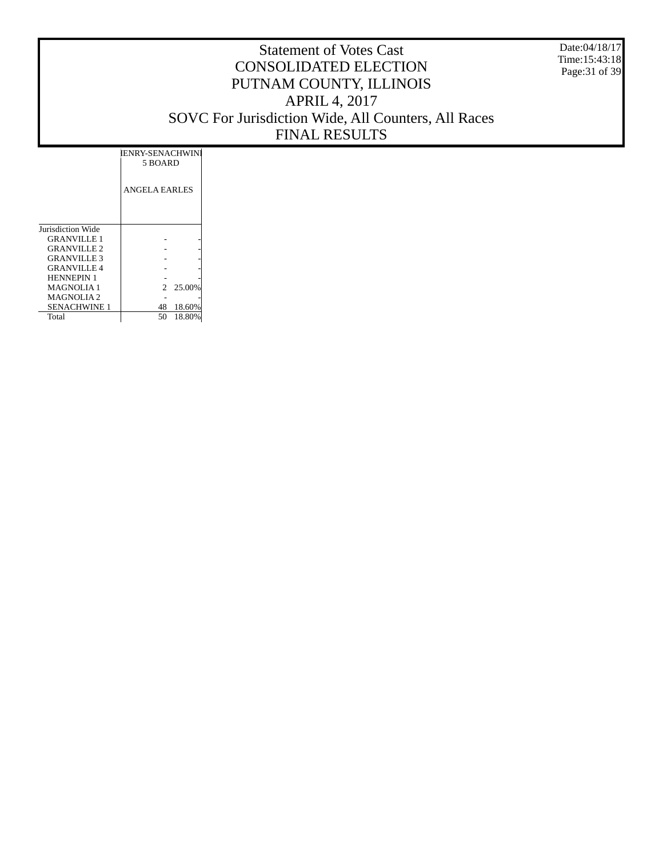Date:04/18/17 Time:15:43:18 Page:31 of 39

|                    | IENRY-SENACHWINI<br>5 BOARD |
|--------------------|-----------------------------|
|                    | ANGELA EARLES               |
| Jurisdiction Wide  |                             |
| <b>GRANVILLE 1</b> |                             |
| <b>GRANVILLE 2</b> |                             |
| <b>GRANVILLE 3</b> |                             |
| <b>GRANVILLE 4</b> |                             |
| <b>HENNEPIN 1</b>  |                             |
| <b>MAGNOLIA1</b>   | 2 25.00%                    |
| <b>MAGNOLIA2</b>   |                             |
| SENACHWINE 1       | 18.60%<br>48                |
| Total              | 18.80%<br>50                |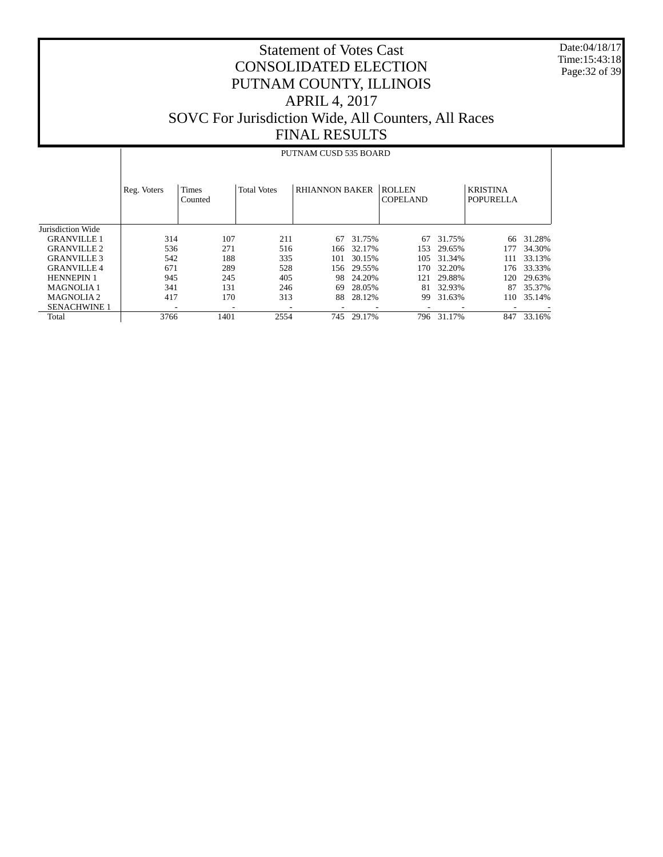Date:04/18/17 Time:15:43:18 Page:32 of 39

#### Statement of Votes Cast CONSOLIDATED ELECTION PUTNAM COUNTY, ILLINOIS APRIL 4, 2017 SOVC For Jurisdiction Wide, All Counters, All Races FINAL RESULTS

#### Jurisdiction Wide GRANVILLE 1 GRANVILLE 2 GRANVILLE 3 GRANVILLE 4 HENNEPIN 1 MAGNOLIA 1 MAGNOLIA 2 SENACHWINE 1 Total Reg. Voters | Times Counted Total Votes | RHIANNON BAKER | ROLLEN COPELAND KRISTINA POPURELLA PUTNAM CUSD 535 BOARD 314 107 211 67 31.75% 67 31.75% 66 31.28% 536 271 516 166 32.17% 153 29.65% 177 34.30% 542 188 335 101 30.15% 105 31.34% 111 33.13% 671 289 528 156 29.55% 170 32.20% 176 33.33% 120 29.63% 341 131 246 69 28.05% 81 32.93% 87 35.37%<br>417 170 313 88 28.12% 99 31.63% 110 35.14% 110 35.14% - - - - - - - - - 3766 1401 2554 745 29.17% 796 31.17% 847 33.16%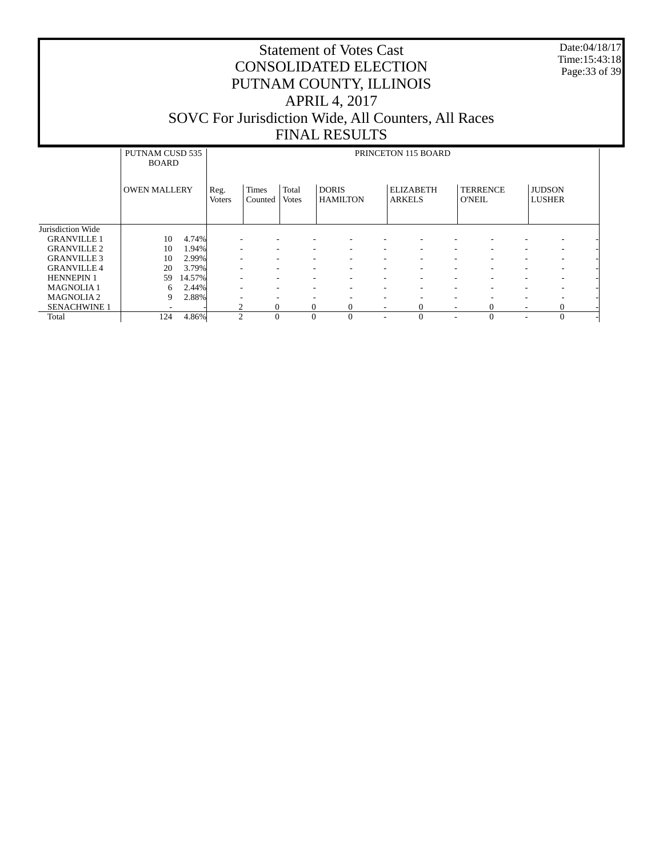Date:04/18/17 Time:15:43:18 Page:33 of 39

|                     | PUTNAM CUSD 535<br><b>BOARD</b> |        |                          | PRINCETON 115 BOARD     |                       |                                 |               |                  |                                  |                          |                                |  |  |
|---------------------|---------------------------------|--------|--------------------------|-------------------------|-----------------------|---------------------------------|---------------|------------------|----------------------------------|--------------------------|--------------------------------|--|--|
|                     | <b>OWEN MALLERY</b>             |        | Reg.<br><b>Voters</b>    | <b>Times</b><br>Counted | Total<br><b>Votes</b> | <b>DORIS</b><br><b>HAMILTON</b> | <b>ARKELS</b> | <b>ELIZABETH</b> | <b>TERRENCE</b><br><b>O'NEIL</b> |                          | <b>JUDSON</b><br><b>LUSHER</b> |  |  |
| Jurisdiction Wide   |                                 |        |                          |                         |                       |                                 |               |                  |                                  |                          |                                |  |  |
| <b>GRANVILLE 1</b>  | 10                              | 4.74%  |                          |                         |                       | -                               |               |                  |                                  |                          | ۰                              |  |  |
| <b>GRANVILLE 2</b>  | 10                              | 1.94%  |                          |                         |                       | $\overline{\phantom{a}}$        |               |                  |                                  |                          | $\overline{\phantom{a}}$       |  |  |
| <b>GRANVILLE 3</b>  | 10                              | 2.99%  | $\overline{\phantom{a}}$ | ۰.                      |                       | $\overline{\phantom{a}}$<br>-   | ٠             | ۰.               |                                  | ٠                        | ٠                              |  |  |
| <b>GRANVILLE 4</b>  | 20                              | 3.79%  | $\overline{\phantom{a}}$ |                         |                       | $\overline{\phantom{a}}$<br>-   | ۰.            | -                |                                  | ۰                        | ۰                              |  |  |
| <b>HENNEPIN 1</b>   | 59                              | 14.57% | ٠                        | -                       |                       | -<br>-                          | ٠             | ۰<br>۰           | ٠                                | ٠                        | ٠                              |  |  |
| <b>MAGNOLIA1</b>    | 6                               | 2.44%  | $\overline{\phantom{a}}$ |                         |                       | $\overline{\phantom{a}}$<br>۰   | ۰.            | -                |                                  | $\overline{\phantom{a}}$ | $\overline{\phantom{a}}$       |  |  |
| <b>MAGNOLIA2</b>    | 9                               | 2.88%  | -                        | -                       |                       | ۰<br>-                          | -             | -                |                                  | ٠                        | -                              |  |  |
| <b>SENACHWINE 1</b> |                                 |        |                          | $\Omega$                |                       | $\mathbf{0}$                    | -             | $\Omega$         | 0                                | -                        | $\Omega$                       |  |  |
| Total               | 124                             | 4.86%  | $\Omega$                 | $\Omega$                |                       | $\theta$<br>$\Omega$            | ۰             | $\Omega$         | $\Omega$                         | ۰                        | $\Omega$                       |  |  |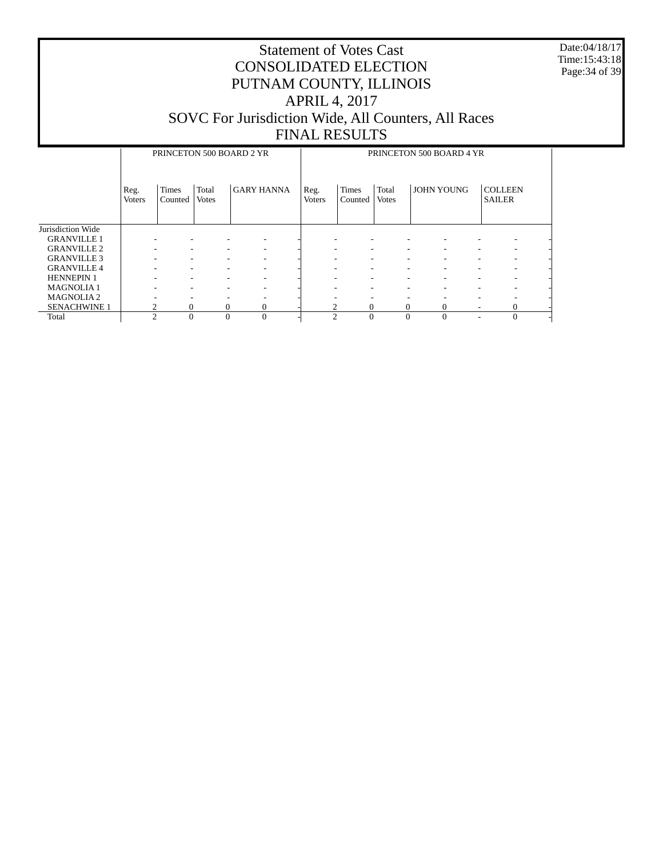Date:04/18/17 Time:15:43:18 Page:34 of 39

|                     |                       |                         |                       | PRINCETON 500 BOARD 2 YR | PRINCETON 500 BOARD 4 YR |                         |                       |                   |                                 |  |  |
|---------------------|-----------------------|-------------------------|-----------------------|--------------------------|--------------------------|-------------------------|-----------------------|-------------------|---------------------------------|--|--|
|                     | Reg.<br><b>Voters</b> | <b>Times</b><br>Counted | Total<br><b>Votes</b> | <b>GARY HANNA</b>        | Reg.<br><b>Voters</b>    | <b>Times</b><br>Counted | Total<br><b>Votes</b> | <b>JOHN YOUNG</b> | <b>COLLEEN</b><br><b>SAILER</b> |  |  |
| Jurisdiction Wide   |                       |                         |                       |                          |                          |                         |                       |                   |                                 |  |  |
| <b>GRANVILLE 1</b>  |                       |                         |                       |                          |                          | ۰                       |                       |                   |                                 |  |  |
| <b>GRANVILLE 2</b>  |                       |                         |                       |                          |                          | ۰                       |                       |                   |                                 |  |  |
| <b>GRANVILLE 3</b>  |                       |                         |                       |                          |                          | -                       |                       |                   |                                 |  |  |
| <b>GRANVILLE 4</b>  |                       | ۰                       |                       |                          |                          | ۰                       |                       |                   |                                 |  |  |
| <b>HENNEPIN 1</b>   |                       | ۰                       |                       | -                        | ۰                        | ۰                       | -                     | -                 | -                               |  |  |
| <b>MAGNOLIA1</b>    |                       | ۰                       |                       |                          |                          | ۰                       |                       |                   |                                 |  |  |
| <b>MAGNOLIA2</b>    |                       | -                       |                       | -                        |                          | -                       |                       |                   |                                 |  |  |
| <b>SENACHWINE 1</b> | າ                     | $\mathbf{0}$            | 0                     | 0                        | ↑                        | $\mathbf{0}$            | $\Omega$              | 0                 | 0                               |  |  |
| Total               | ↑                     | $\Omega$                | $\Omega$              |                          | ◠                        | $\theta$                | $\theta$              |                   |                                 |  |  |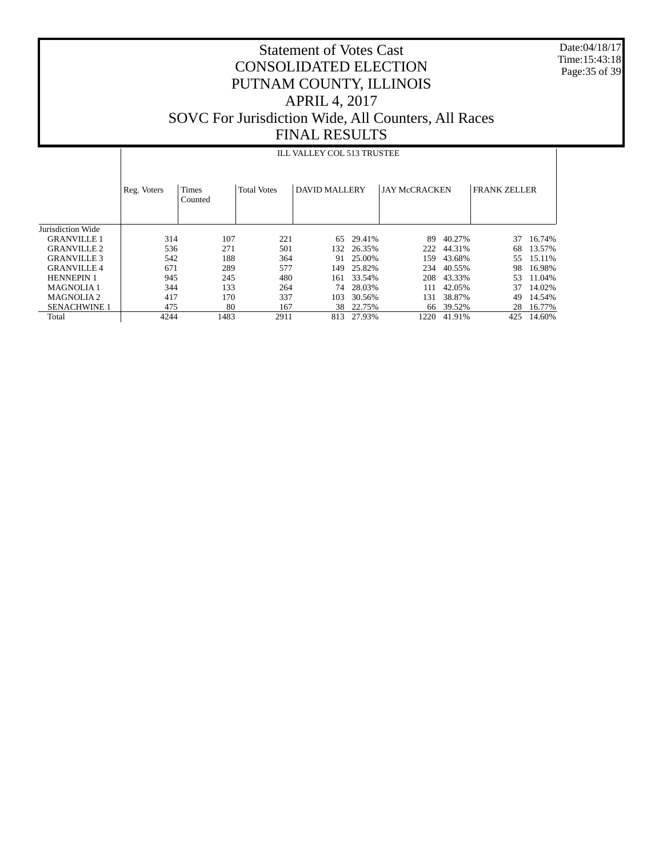Date:04/18/17 Time:15:43:18 Page:35 of 39

## Statement of Votes Cast CONSOLIDATED ELECTION PUTNAM COUNTY, ILLINOIS APRIL 4, 2017 SOVC For Jurisdiction Wide, All Counters, All Races FINAL RESULTS

#### ILL VALLEY COL 513 TRUSTEE

|                       | Reg. Voters | <b>Times</b><br>Counted | <b>Total Votes</b> | DAVID MALLERY |            | <b>JAY McCRACKEN</b> |           | <b>FRANK ZELLER</b> |        |
|-----------------------|-------------|-------------------------|--------------------|---------------|------------|----------------------|-----------|---------------------|--------|
| Jurisdiction Wide     |             |                         |                    |               |            |                      |           |                     |        |
| <b>GRANVILLE 1</b>    | 314         | 107                     | 221                | 65            | 29.41%     | 89                   | 40.27%    | 37                  | 16.74% |
| <b>GRANVILLE 2</b>    | 536         | 271                     | 501                |               | 132 26.35% | 222                  | 44.31%    | 68                  | 13.57% |
| <b>GRANVILLE 3</b>    | 542         | 188                     | 364                | 91            | 25.00%     | 159                  | 43.68%    | 55                  | 15.11% |
| <b>GRANVILLE4</b>     | 671         | 289                     | 577                | 149           | 25.82%     | 234                  | 40.55%    | 98                  | 16.98% |
| <b>HENNEPIN 1</b>     | 945         | 245                     | 480                | 161           | 33.54%     | 208                  | 43.33%    | 53.                 | 11.04% |
| <b>MAGNOLIA1</b>      | 344         | 133                     | 264                | 74            | 28.03%     | 111                  | 42.05%    | 37                  | 14.02% |
| MAGNOLIA <sub>2</sub> | 417         | 170                     | 337                | 103           | 30.56%     | 131                  | 38.87%    | 49                  | 14.54% |
| <b>SENACHWINE 1</b>   | 475         | 80                      | 167                |               | 38 22.75%  |                      | 66 39.52% | 28                  | 16.77% |
| Total                 | 4244        | 1483                    | 2911               | 813           | 27.93%     | 1220                 | 41.91%    | 425                 | 14.60% |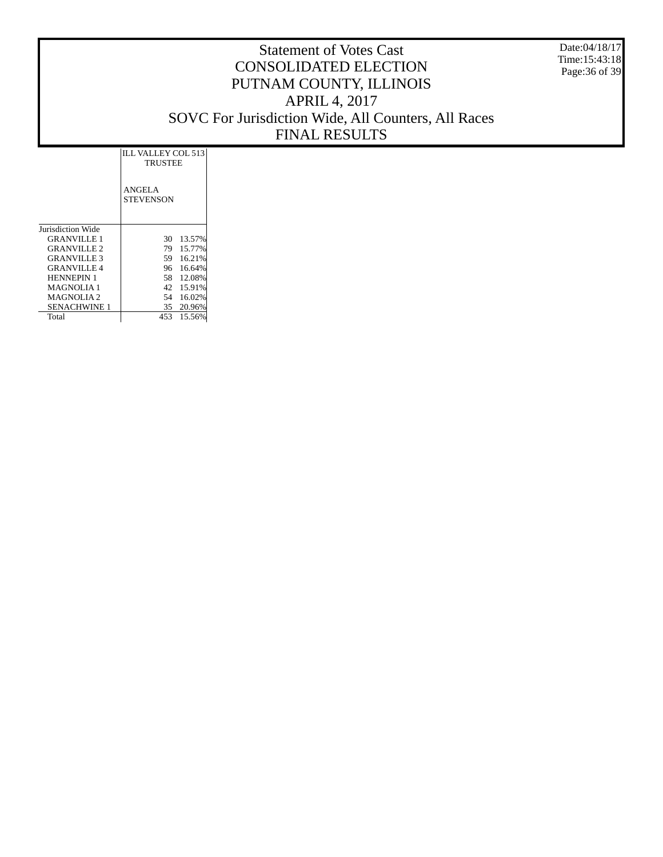Date:04/18/17 Time:15:43:18 Page:36 of 39

|                    | ILL VALLEY COL 513<br><b>TRUSTEE</b> |        |
|--------------------|--------------------------------------|--------|
|                    | <b>ANGELA</b><br>STEVENSON           |        |
| Jurisdiction Wide  |                                      |        |
| <b>GRANVILLE 1</b> | 30                                   | 13.57% |
| <b>GRANVILLE 2</b> | 79                                   | 15.77% |
| <b>GRANVILLE 3</b> | 59                                   | 16.21% |
| <b>GRANVILLE4</b>  | 96                                   | 16.64% |
| <b>HENNEPIN 1</b>  | 58.                                  | 12.08% |
| <b>MAGNOLIA1</b>   | 42                                   | 15.91% |
| <b>MAGNOLIA2</b>   | 54                                   | 16.02% |
| SENACHWINE 1       | 35                                   | 20.96% |
| Total              | 453.                                 | 15.56% |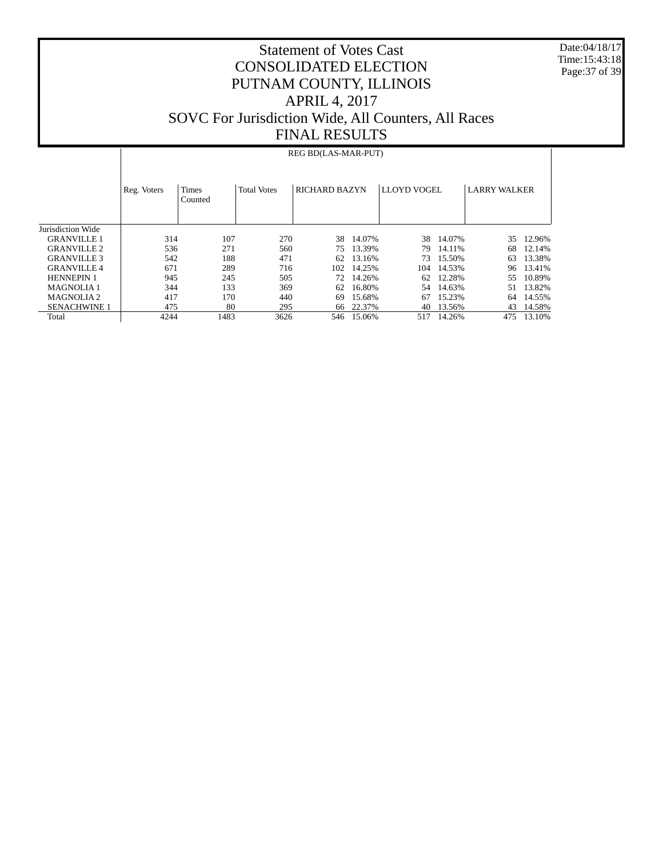Date:04/18/17 Time:15:43:18 Page:37 of 39

#### Statement of Votes Cast CONSOLIDATED ELECTION PUTNAM COUNTY, ILLINOIS APRIL 4, 2017 SOVC For Jurisdiction Wide, All Counters, All Races FINAL RESULTS

#### Jurisdiction Wide GRANVILLE 1 GRANVILLE 2 GRANVILLE 3 GRANVILLE 4 HENNEPIN 1 MAGNOLIA 1 MAGNOLIA 2 SENACHWINE 1 Total Reg. Voters | Times Counted Total Votes | RICHARD BAZYN | LLOYD VOGEL | LARRY WALKER REG BD(LAS-MAR-PUT) 314 107 270 38 14.07% 38 14.07% 35 12.96% 536 271 560 75 13.39% 79 14.11% 68 12.14% 542 188 471 62 13.16% 73 15.50% 63 13.38% 671 289 716 102 14.25% 104 14.53%<br>945 245 505 72 14.26% 62 12.28% 55 10.89%<br>51 13.82% 344 133 369 62 16.80% 54 14.63% 51 13.82% 417 170 440 69 15.68% 67 15.23% 64 14.55% 475 80 295 66 22.37% 40 13.56% 43 14.58% 475 80 295 66 22.37% 40 13.56% 43 14.58%<br>4244 1483 3626 546 15.06% 517 14.26% 475 13.10% 546 15.06%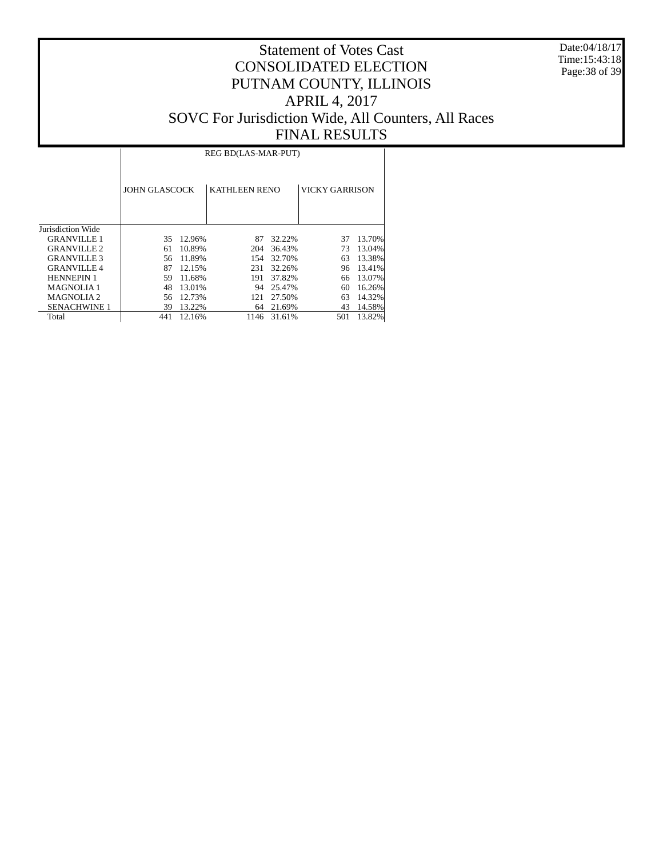Date:04/18/17 Time:15:43:18 Page:38 of 39

|                     |               | REG BD(LAS-MAR-PUT) |                      |        |                       |        |  |  |  |  |  |  |  |
|---------------------|---------------|---------------------|----------------------|--------|-----------------------|--------|--|--|--|--|--|--|--|
|                     | JOHN GLASCOCK |                     | <b>KATHLEEN RENO</b> |        | <b>VICKY GARRISON</b> |        |  |  |  |  |  |  |  |
| Jurisdiction Wide   |               |                     |                      |        |                       |        |  |  |  |  |  |  |  |
| <b>GRANVILLE 1</b>  | 35            | 12.96%              | 87                   | 32.22% | 37                    | 13.70% |  |  |  |  |  |  |  |
| <b>GRANVILLE 2</b>  | 61            | 10.89%              | 204                  | 36.43% | 73                    | 13.04% |  |  |  |  |  |  |  |
| <b>GRANVILLE 3</b>  | 56            | 11.89%              | 154                  | 32.70% | 63                    | 13.38% |  |  |  |  |  |  |  |
| <b>GRANVILLE 4</b>  | 87            | 12.15%              | 231                  | 32.26% | 96                    | 13.41% |  |  |  |  |  |  |  |
| <b>HENNEPIN 1</b>   | 59            | 11.68%              | 191                  | 37.82% | 66                    | 13.07% |  |  |  |  |  |  |  |
| <b>MAGNOLIA1</b>    | 48            | 13.01%              | 94                   | 25.47% | 60                    | 16.26% |  |  |  |  |  |  |  |
| <b>MAGNOLIA2</b>    | 56            | 12.73%              | 121                  | 27.50% | 63                    | 14.32% |  |  |  |  |  |  |  |
| <b>SENACHWINE 1</b> | 39            | 13.22%              | 64                   | 21.69% | 43                    | 14.58% |  |  |  |  |  |  |  |
| Total               | 441           | 12.16%              | 1146                 | 31.61% | 501                   | 13.82% |  |  |  |  |  |  |  |